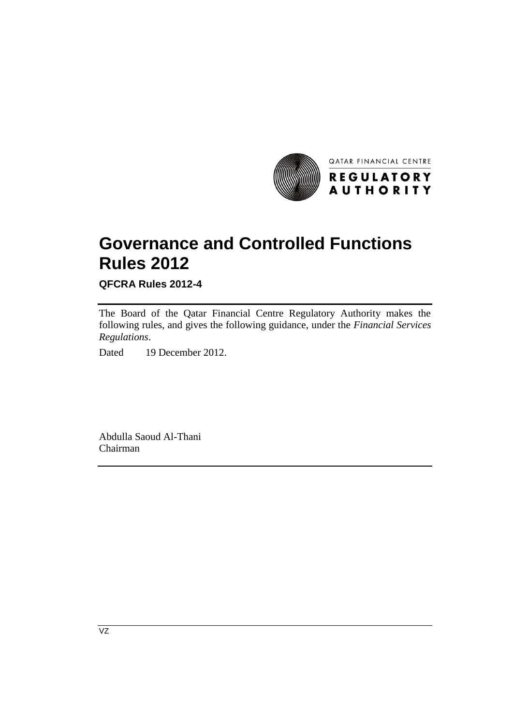

QATAR FINANCIAL CENTRE

**Governance and Controlled Functions Rules 2012**

**QFCRA Rules 2012-4**

The Board of the Qatar Financial Centre Regulatory Authority makes the following rules, and gives the following guidance, under the *Financial Services Regulations*.

Dated 19 December 2012.

Abdulla Saoud Al-Thani Chairman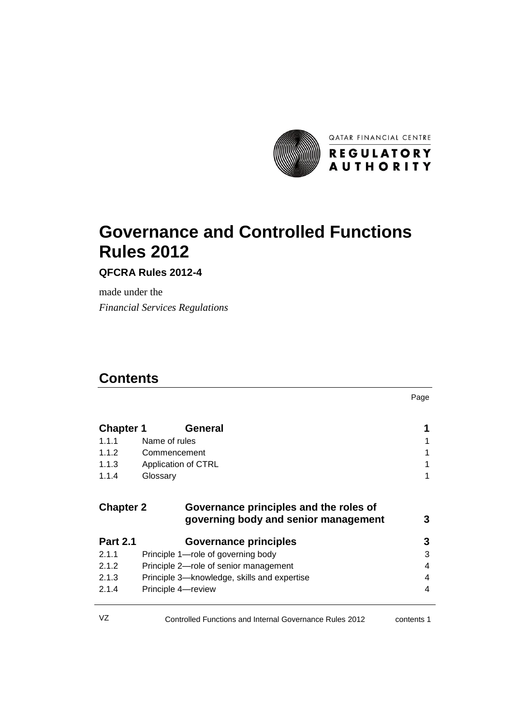

# **Governance and Controlled Functions Rules 2012**

**QFCRA Rules 2012-4**

made under the *Financial Services Regulations*

# **Contents**

Page

| <b>Chapter 1</b> | <b>General</b>                                                                 | 1 |
|------------------|--------------------------------------------------------------------------------|---|
| 1.1.1            | Name of rules                                                                  | 1 |
| 1.1.2            | Commencement                                                                   |   |
| 1.1.3            | Application of CTRL                                                            | 1 |
| 1.1.4            | Glossary                                                                       | 1 |
| <b>Chapter 2</b> | Governance principles and the roles of<br>governing body and senior management | 3 |
| <b>Part 2.1</b>  | <b>Governance principles</b>                                                   | 3 |
| 2.1.1            | Principle 1-role of governing body                                             | 3 |
| 2.1.2            | Principle 2-role of senior management                                          | 4 |
| 2.1.3            | Principle 3—knowledge, skills and expertise                                    | 4 |
| 2.1.4            | Principle 4-review                                                             | 4 |
|                  |                                                                                |   |

| VZ<br>Controlled Functions and Internal Governance Rules 2012 | contents 1 |
|---------------------------------------------------------------|------------|
|---------------------------------------------------------------|------------|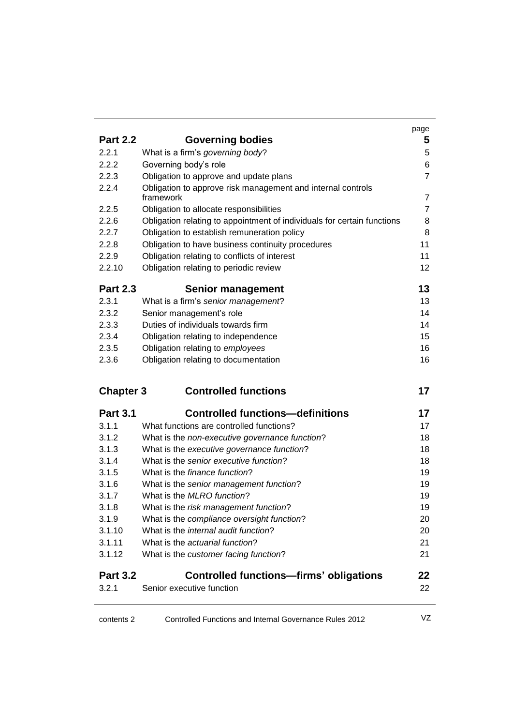|                  |                                                                                    | page           |
|------------------|------------------------------------------------------------------------------------|----------------|
| <b>Part 2.2</b>  | <b>Governing bodies</b>                                                            | 5              |
| 2.2.1            | What is a firm's governing body?                                                   | 5              |
| 2.2.2            | Governing body's role                                                              | 6              |
| 2.2.3            | Obligation to approve and update plans                                             | $\overline{7}$ |
| 2.2.4            | Obligation to approve risk management and internal controls                        |                |
|                  | framework                                                                          | $\overline{7}$ |
| 2.2.5            | Obligation to allocate responsibilities                                            | $\overline{7}$ |
| 2.2.6            | Obligation relating to appointment of individuals for certain functions            | 8              |
| 2.2.7            | Obligation to establish remuneration policy                                        | 8              |
| 2.2.8            | Obligation to have business continuity procedures                                  | 11             |
| 2.2.9            | Obligation relating to conflicts of interest                                       | 11             |
| 2.2.10           | Obligation relating to periodic review                                             | 12             |
| <b>Part 2.3</b>  | <b>Senior management</b>                                                           | 13             |
| 2.3.1            | What is a firm's senior management?                                                | 13             |
| 2.3.2            | Senior management's role                                                           | 14             |
| 2.3.3            | Duties of individuals towards firm                                                 | 14             |
| 2.3.4            | Obligation relating to independence                                                | 15             |
| 2.3.5            | Obligation relating to employees                                                   | 16             |
| 2.3.6            | Obligation relating to documentation                                               | 16             |
| <b>Chapter 3</b> | <b>Controlled functions</b>                                                        | 17             |
|                  |                                                                                    |                |
| <b>Part 3.1</b>  | <b>Controlled functions-definitions</b>                                            | 17             |
| 3.1.1            | What functions are controlled functions?                                           | 17             |
| 3.1.2            | What is the non-executive governance function?                                     | 18             |
| 3.1.3            | What is the executive governance function?                                         | 18             |
| 3.1.4            | What is the senior executive function?                                             | 18             |
| 3.1.5            | What is the <i>finance function</i> ?                                              | 19             |
| 3.1.6            | What is the senior management function?                                            | 19             |
| 3.1.7            | What is the MLRO function?                                                         | 19             |
| 3.1.8            | What is the risk management function?                                              | 19             |
| 3.1.9<br>3.1.10  | What is the compliance oversight function?<br>What is the internal audit function? | 20             |
|                  | What is the <i>actuarial function</i> ?                                            | 20<br>21       |
| 3.1.11<br>3.1.12 |                                                                                    | 21             |
|                  | What is the customer facing function?                                              |                |
| <b>Part 3.2</b>  | <b>Controlled functions-firms' obligations</b>                                     | 22             |
| 3.2.1            | Senior executive function                                                          | 22             |

contents 2 Controlled Functions and Internal Governance Rules 2012 VZ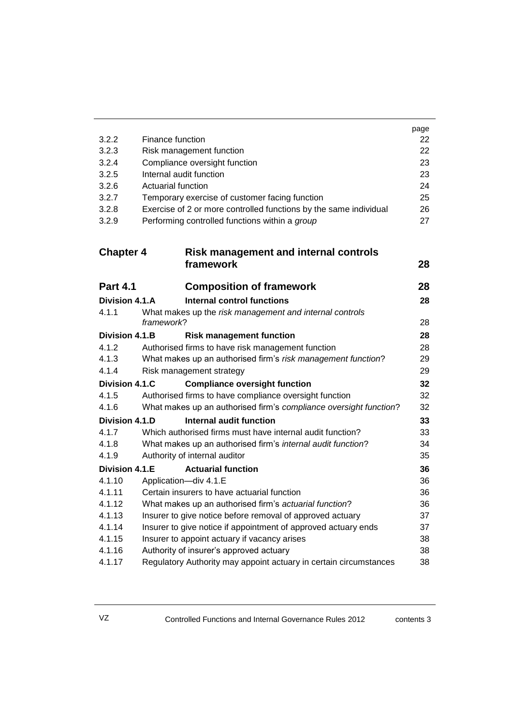|                                                        |                                                                   | page     |
|--------------------------------------------------------|-------------------------------------------------------------------|----------|
| 3.2.2                                                  | Finance function                                                  | 22       |
| 3.2.3                                                  | Risk management function                                          | 22       |
| 3.2.4                                                  | Compliance oversight function                                     | 23       |
| 3.2.5                                                  | Internal audit function                                           | 23       |
| 3.2.6                                                  | Actuarial function                                                | 24       |
| 3.2.7                                                  | Temporary exercise of customer facing function                    | 25       |
| 3.2.8<br>3.2.9                                         | Exercise of 2 or more controlled functions by the same individual | 26<br>27 |
|                                                        | Performing controlled functions within a group                    |          |
| <b>Chapter 4</b>                                       | <b>Risk management and internal controls</b>                      |          |
|                                                        | framework                                                         | 28       |
| <b>Part 4.1</b>                                        | <b>Composition of framework</b>                                   | 28       |
| Division 4.1.A                                         | <b>Internal control functions</b>                                 | 28       |
| 4.1.1                                                  | What makes up the risk management and internal controls           |          |
|                                                        | framework?                                                        | 28       |
| <b>Division 4.1.B</b>                                  | <b>Risk management function</b>                                   | 28       |
| 4.1.2                                                  | Authorised firms to have risk management function                 | 28       |
| 4.1.3                                                  | What makes up an authorised firm's risk management function?      | 29       |
| 4.1.4                                                  | Risk management strategy                                          | 29       |
| Division 4.1.C<br><b>Compliance oversight function</b> |                                                                   | 32       |
| 4.1.5                                                  | Authorised firms to have compliance oversight function            | 32       |
| 4.1.6                                                  | What makes up an authorised firm's compliance oversight function? | 32       |
| Division 4.1.D                                         | Internal audit function                                           | 33       |
| 4.1.7                                                  | Which authorised firms must have internal audit function?         | 33       |
| 4.1.8                                                  | What makes up an authorised firm's internal audit function?       | 34       |
| 4.1.9                                                  | Authority of internal auditor                                     | 35       |
| Division 4.1.E                                         | <b>Actuarial function</b>                                         | 36       |
| 4.1.10                                                 | Application-div 4.1.E                                             | 36       |
| 4.1.11                                                 | Certain insurers to have actuarial function                       | 36       |
| 4.1.12                                                 | What makes up an authorised firm's actuarial function?            | 36       |
| 4.1.13                                                 | Insurer to give notice before removal of approved actuary         | 37       |
| 4.1.14                                                 | Insurer to give notice if appointment of approved actuary ends    | 37       |
| 4.1.15                                                 | Insurer to appoint actuary if vacancy arises                      | 38       |
| 4.1.16                                                 | Authority of insurer's approved actuary                           | 38       |
| 4.1.17                                                 | Regulatory Authority may appoint actuary in certain circumstances | 38       |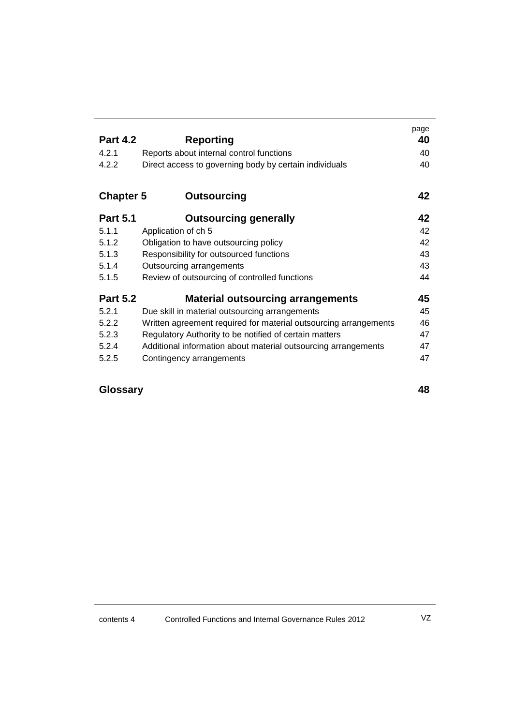|                  |                                                                  | page |
|------------------|------------------------------------------------------------------|------|
| <b>Part 4.2</b>  | <b>Reporting</b>                                                 | 40   |
| 4.2.1            | Reports about internal control functions                         | 40   |
| 4.2.2            | Direct access to governing body by certain individuals           | 40   |
| <b>Chapter 5</b> | Outsourcing                                                      | 42   |
| <b>Part 5.1</b>  | <b>Outsourcing generally</b>                                     | 42   |
| 5.1.1            | Application of ch 5                                              | 42   |
| 5.1.2            | Obligation to have outsourcing policy                            | 42   |
| 5.1.3            | Responsibility for outsourced functions                          | 43   |
| 5.1.4            | Outsourcing arrangements                                         | 43   |
| 5.1.5            | Review of outsourcing of controlled functions                    | 44   |
| <b>Part 5.2</b>  | <b>Material outsourcing arrangements</b>                         | 45   |
| 5.2.1            | Due skill in material outsourcing arrangements                   | 45   |
| 5.2.2            | Written agreement required for material outsourcing arrangements | 46   |
| 5.2.3            | Regulatory Authority to be notified of certain matters           | 47   |
| 5.2.4            | Additional information about material outsourcing arrangements   | 47   |
| 5.2.5            | Contingency arrangements                                         | 47   |

### **Glossary 48**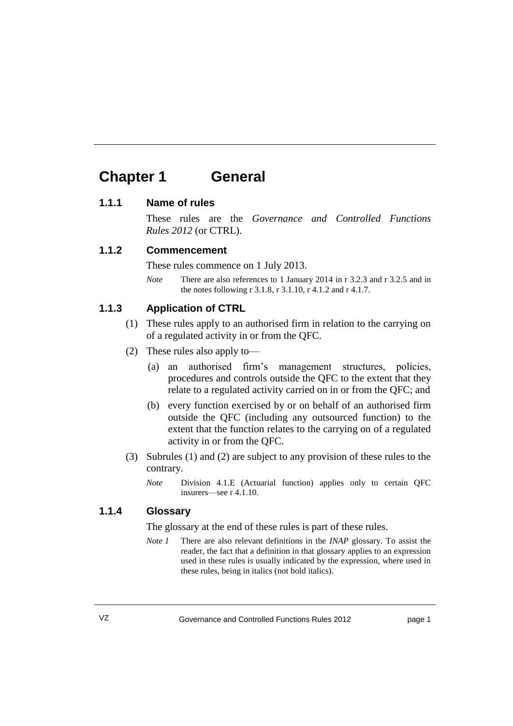# **Chapter 1 General**

#### **1.1.1 Name of rules**

These rules are the *Governance and Controlled Functions Rules 2012* (or CTRL).

#### **1.1.2 Commencement**

These rules commence on 1 July 2013.

*Note* There are also references to 1 January 2014 in r 3.2.3 and r 3.2.5 and in the notes following r 3.1.8, r 3.1.10, r 4.1.2 and r 4.1.7.

#### **1.1.3 Application of CTRL**

- (1) These rules apply to an authorised firm in relation to the carrying on of a regulated activity in or from the QFC.
- (2) These rules also apply to—
	- (a) an authorised firm's management structures, policies, procedures and controls outside the QFC to the extent that they relate to a regulated activity carried on in or from the QFC; and
	- (b) every function exercised by or on behalf of an authorised firm outside the QFC (including any outsourced function) to the extent that the function relates to the carrying on of a regulated activity in or from the QFC.
- (3) Subrules (1) and (2) are subject to any provision of these rules to the contrary.
	- *Note* Division 4.1.E (Actuarial function) applies only to certain QFC insurers—see r 4.1.10.

#### **1.1.4 Glossary**

The glossary at the end of these rules is part of these rules.

*Note 1* There are also relevant definitions in the *INAP* glossary. To assist the reader, the fact that a definition in that glossary applies to an expression used in these rules is usually indicated by the expression, where used in these rules, being in italics (not bold italics).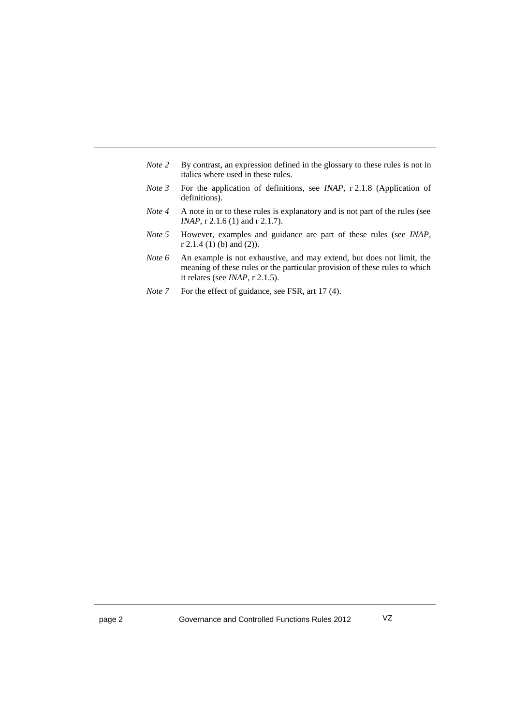| Note 2 | By contrast, an expression defined in the glossary to these rules is not in<br>italics where used in these rules.                                                                                |
|--------|--------------------------------------------------------------------------------------------------------------------------------------------------------------------------------------------------|
| Note 3 | For the application of definitions, see <i>INAP</i> , r 2.1.8 (Application of<br>definitions).                                                                                                   |
| Note 4 | A note in or to these rules is explanatory and is not part of the rules (see<br>$INAP$ , r 2.1.6 (1) and r 2.1.7).                                                                               |
| Note 5 | However, examples and guidance are part of these rules (see <i>INAP</i> ,<br>$r$ 2.1.4 (1) (b) and (2)).                                                                                         |
| Note 6 | An example is not exhaustive, and may extend, but does not limit, the<br>meaning of these rules or the particular provision of these rules to which<br>it relates (see <i>INAP</i> , $r$ 2.1.5). |

*Note* 7 For the effect of guidance, see FSR, art 17 (4).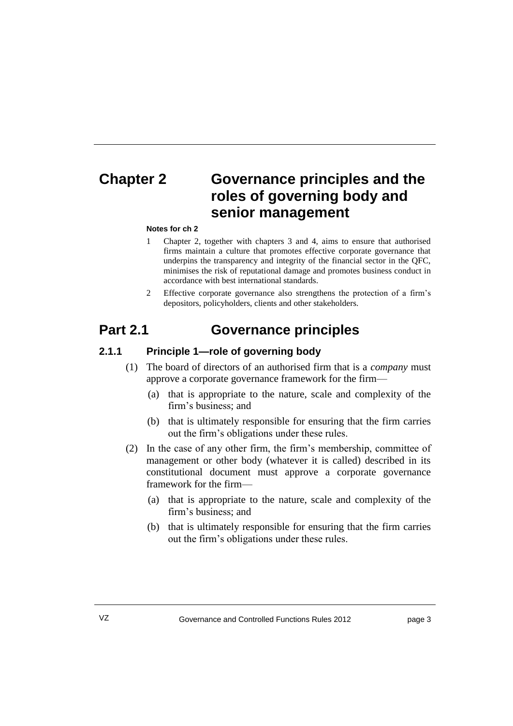# **Chapter 2 Governance principles and the roles of governing body and senior management**

#### **Notes for ch 2**

- 1 Chapter 2, together with chapters 3 and 4, aims to ensure that authorised firms maintain a culture that promotes effective corporate governance that underpins the transparency and integrity of the financial sector in the QFC, minimises the risk of reputational damage and promotes business conduct in accordance with best international standards.
- 2 Effective corporate governance also strengthens the protection of a firm's depositors, policyholders, clients and other stakeholders.

### **Part 2.1 Governance principles**

#### **2.1.1 Principle 1—role of governing body**

- (1) The board of directors of an authorised firm that is a *company* must approve a corporate governance framework for the firm—
	- (a) that is appropriate to the nature, scale and complexity of the firm's business; and
	- (b) that is ultimately responsible for ensuring that the firm carries out the firm's obligations under these rules.
- (2) In the case of any other firm, the firm's membership, committee of management or other body (whatever it is called) described in its constitutional document must approve a corporate governance framework for the firm—
	- (a) that is appropriate to the nature, scale and complexity of the firm's business; and
	- (b) that is ultimately responsible for ensuring that the firm carries out the firm's obligations under these rules.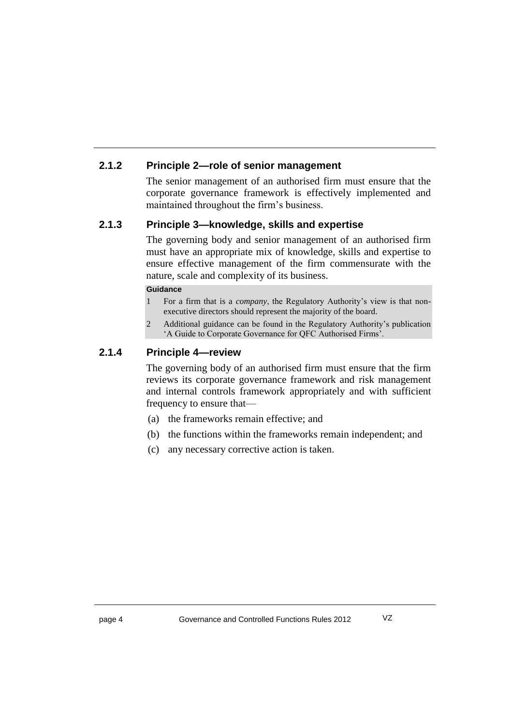### **2.1.2 Principle 2—role of senior management**

The senior management of an authorised firm must ensure that the corporate governance framework is effectively implemented and maintained throughout the firm's business.

### **2.1.3 Principle 3—knowledge, skills and expertise**

The governing body and senior management of an authorised firm must have an appropriate mix of knowledge, skills and expertise to ensure effective management of the firm commensurate with the nature, scale and complexity of its business.

#### **Guidance**

- 1 For a firm that is a *company*, the Regulatory Authority's view is that nonexecutive directors should represent the majority of the board.
- 2 Additional guidance can be found in the Regulatory Authority's publication 'A Guide to Corporate Governance for QFC Authorised Firms'.

#### **2.1.4 Principle 4—review**

The governing body of an authorised firm must ensure that the firm reviews its corporate governance framework and risk management and internal controls framework appropriately and with sufficient frequency to ensure that—

- (a) the frameworks remain effective; and
- (b) the functions within the frameworks remain independent; and
- (c) any necessary corrective action is taken.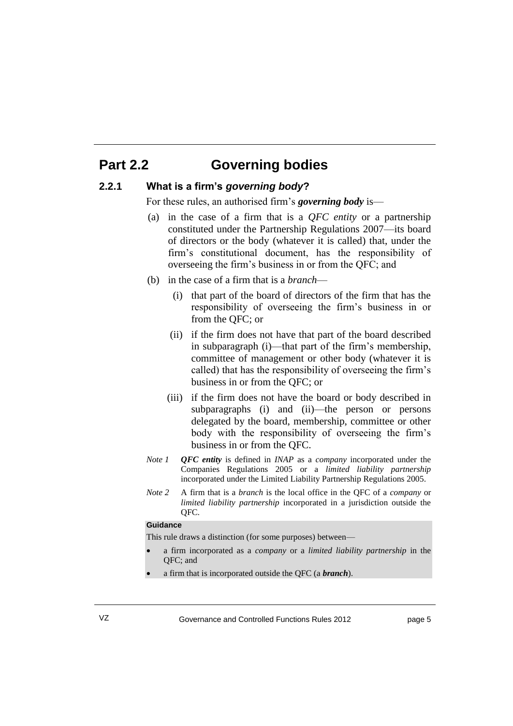# **Part 2.2 Governing bodies**

#### **2.2.1 What is a firm's** *governing body***?**

For these rules, an authorised firm's *governing body* is—

- (a) in the case of a firm that is a *QFC entity* or a partnership constituted under the Partnership Regulations 2007—its board of directors or the body (whatever it is called) that, under the firm's constitutional document, has the responsibility of overseeing the firm's business in or from the QFC; and
- (b) in the case of a firm that is a *branch*
	- (i) that part of the board of directors of the firm that has the responsibility of overseeing the firm's business in or from the QFC; or
	- (ii) if the firm does not have that part of the board described in subparagraph (i)—that part of the firm's membership, committee of management or other body (whatever it is called) that has the responsibility of overseeing the firm's business in or from the QFC; or
	- (iii) if the firm does not have the board or body described in subparagraphs (i) and (ii)—the person or persons delegated by the board, membership, committee or other body with the responsibility of overseeing the firm's business in or from the QFC.
- *Note 1 QFC entity* is defined in *INAP* as a *company* incorporated under the Companies Regulations 2005 or a *limited liability partnership* incorporated under the Limited Liability Partnership Regulations 2005.
- *Note 2* A firm that is a *branch* is the local office in the QFC of a *company* or *limited liability partnership* incorporated in a jurisdiction outside the QFC.

#### **Guidance**

This rule draws a distinction (for some purposes) between—

 a firm incorporated as a *company* or a *limited liability partnership* in the QFC; and

a firm that is incorporated outside the QFC (a *branch*).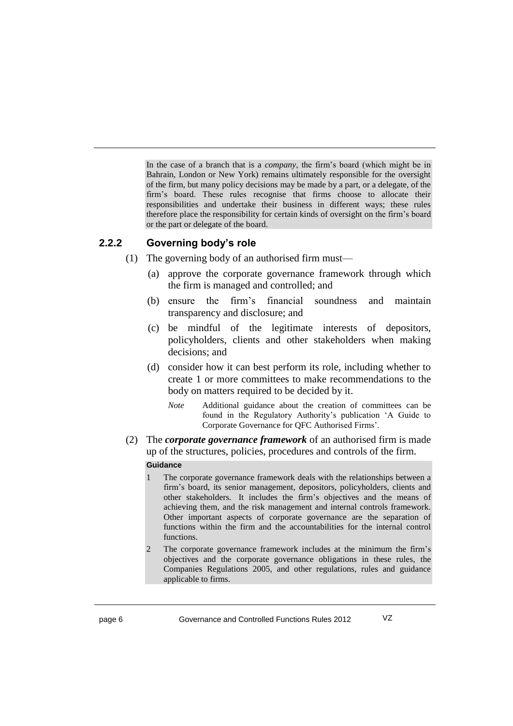In the case of a branch that is a *company*, the firm's board (which might be in Bahrain, London or New York) remains ultimately responsible for the oversight of the firm, but many policy decisions may be made by a part, or a delegate, of the firm's board. These rules recognise that firms choose to allocate their responsibilities and undertake their business in different ways; these rules therefore place the responsibility for certain kinds of oversight on the firm's board or the part or delegate of the board.

#### **2.2.2 Governing body's role**

- (1) The governing body of an authorised firm must—
	- (a) approve the corporate governance framework through which the firm is managed and controlled; and
	- (b) ensure the firm's financial soundness and maintain transparency and disclosure; and
	- (c) be mindful of the legitimate interests of depositors, policyholders, clients and other stakeholders when making decisions; and
	- (d) consider how it can best perform its role, including whether to create 1 or more committees to make recommendations to the body on matters required to be decided by it.
		- *Note* Additional guidance about the creation of committees can be found in the Regulatory Authority's publication 'A Guide to Corporate Governance for QFC Authorised Firms'.
- (2) The *corporate governance framework* of an authorised firm is made up of the structures, policies, procedures and controls of the firm. **Guidance**
	- 1 The corporate governance framework deals with the relationships between a firm's board, its senior management, depositors, policyholders, clients and other stakeholders. It includes the firm's objectives and the means of achieving them, and the risk management and internal controls framework. Other important aspects of corporate governance are the separation of functions within the firm and the accountabilities for the internal control functions.
	- 2 The corporate governance framework includes at the minimum the firm's objectives and the corporate governance obligations in these rules, the Companies Regulations 2005, and other regulations, rules and guidance applicable to firms.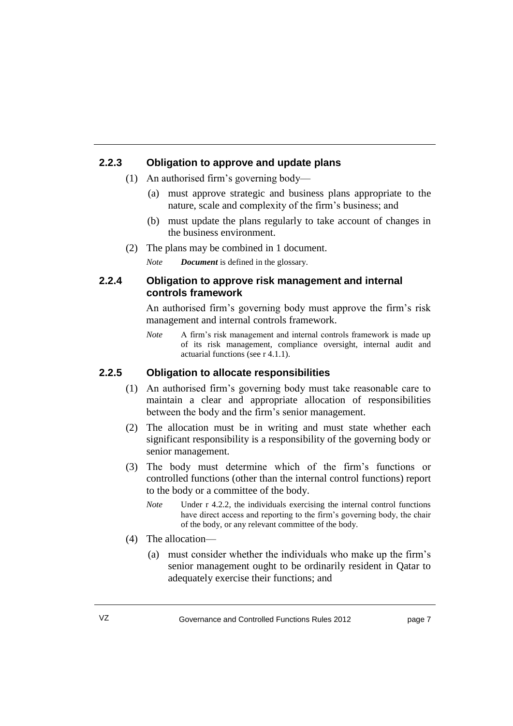#### **2.2.3 Obligation to approve and update plans**

- (1) An authorised firm's governing body—
	- (a) must approve strategic and business plans appropriate to the nature, scale and complexity of the firm's business; and
	- (b) must update the plans regularly to take account of changes in the business environment.
- (2) The plans may be combined in 1 document.

*Note Document* is defined in the glossary.

#### **2.2.4 Obligation to approve risk management and internal controls framework**

An authorised firm's governing body must approve the firm's risk management and internal controls framework.

*Note* A firm's risk management and internal controls framework is made up of its risk management, compliance oversight, internal audit and actuarial functions (see r 4.1.1).

#### **2.2.5 Obligation to allocate responsibilities**

- (1) An authorised firm's governing body must take reasonable care to maintain a clear and appropriate allocation of responsibilities between the body and the firm's senior management.
- (2) The allocation must be in writing and must state whether each significant responsibility is a responsibility of the governing body or senior management.
- (3) The body must determine which of the firm's functions or controlled functions (other than the internal control functions) report to the body or a committee of the body.
	- *Note* Under r 4.2.2, the individuals exercising the internal control functions have direct access and reporting to the firm's governing body, the chair of the body, or any relevant committee of the body.
- (4) The allocation—
	- (a) must consider whether the individuals who make up the firm's senior management ought to be ordinarily resident in Qatar to adequately exercise their functions; and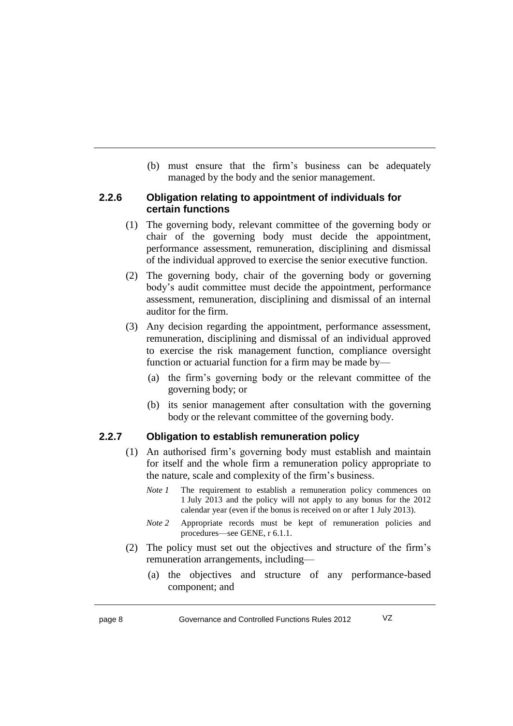(b) must ensure that the firm's business can be adequately managed by the body and the senior management.

#### **2.2.6 Obligation relating to appointment of individuals for certain functions**

- (1) The governing body, relevant committee of the governing body or chair of the governing body must decide the appointment, performance assessment, remuneration, disciplining and dismissal of the individual approved to exercise the senior executive function.
- (2) The governing body, chair of the governing body or governing body's audit committee must decide the appointment, performance assessment, remuneration, disciplining and dismissal of an internal auditor for the firm.
- (3) Any decision regarding the appointment, performance assessment, remuneration, disciplining and dismissal of an individual approved to exercise the risk management function, compliance oversight function or actuarial function for a firm may be made by—
	- (a) the firm's governing body or the relevant committee of the governing body; or
	- (b) its senior management after consultation with the governing body or the relevant committee of the governing body.

### **2.2.7 Obligation to establish remuneration policy**

- (1) An authorised firm's governing body must establish and maintain for itself and the whole firm a remuneration policy appropriate to the nature, scale and complexity of the firm's business.
	- *Note 1* The requirement to establish a remuneration policy commences on 1 July 2013 and the policy will not apply to any bonus for the 2012 calendar year (even if the bonus is received on or after 1 July 2013).
	- *Note 2* Appropriate records must be kept of remuneration policies and procedures—see GENE, r 6.1.1.
- (2) The policy must set out the objectives and structure of the firm's remuneration arrangements, including—
	- (a) the objectives and structure of any performance-based component; and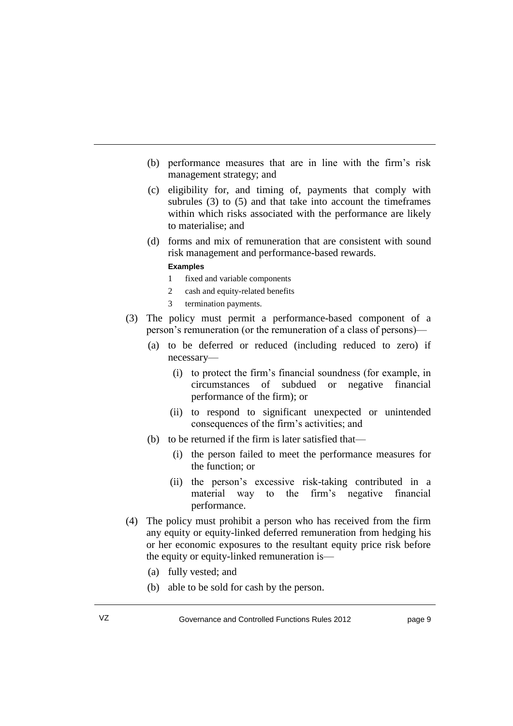- (b) performance measures that are in line with the firm's risk management strategy; and
- (c) eligibility for, and timing of, payments that comply with subrules (3) to (5) and that take into account the timeframes within which risks associated with the performance are likely to materialise; and
- (d) forms and mix of remuneration that are consistent with sound risk management and performance-based rewards.

#### **Examples**

- 1 fixed and variable components
- 2 cash and equity-related benefits
- 3 termination payments.
- (3) The policy must permit a performance-based component of a person's remuneration (or the remuneration of a class of persons)—
	- (a) to be deferred or reduced (including reduced to zero) if necessary—
		- (i) to protect the firm's financial soundness (for example, in circumstances of subdued or negative financial performance of the firm); or
		- (ii) to respond to significant unexpected or unintended consequences of the firm's activities; and
	- (b) to be returned if the firm is later satisfied that—
		- (i) the person failed to meet the performance measures for the function; or
		- (ii) the person's excessive risk-taking contributed in a material way to the firm's negative financial performance.
- (4) The policy must prohibit a person who has received from the firm any equity or equity-linked deferred remuneration from hedging his or her economic exposures to the resultant equity price risk before the equity or equity-linked remuneration is—
	- (a) fully vested; and
	- (b) able to be sold for cash by the person.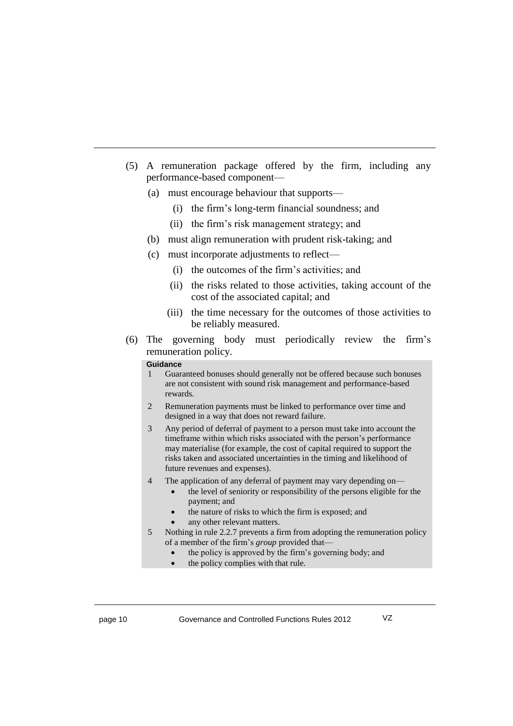- (5) A remuneration package offered by the firm, including any performance-based component—
	- (a) must encourage behaviour that supports—
		- (i) the firm's long-term financial soundness; and
		- (ii) the firm's risk management strategy; and
	- (b) must align remuneration with prudent risk-taking; and
	- (c) must incorporate adjustments to reflect—
		- (i) the outcomes of the firm's activities; and
		- (ii) the risks related to those activities, taking account of the cost of the associated capital; and
		- (iii) the time necessary for the outcomes of those activities to be reliably measured.
- (6) The governing body must periodically review the firm's remuneration policy.

#### **Guidance**

- 1 Guaranteed bonuses should generally not be offered because such bonuses are not consistent with sound risk management and performance-based rewards.
- 2 Remuneration payments must be linked to performance over time and designed in a way that does not reward failure.
- 3 Any period of deferral of payment to a person must take into account the timeframe within which risks associated with the person's performance may materialise (for example, the cost of capital required to support the risks taken and associated uncertainties in the timing and likelihood of future revenues and expenses).
- 4 The application of any deferral of payment may vary depending on
	- the level of seniority or responsibility of the persons eligible for the payment; and
	- the nature of risks to which the firm is exposed; and
	- any other relevant matters.
- 5 Nothing in rule 2.2.7 prevents a firm from adopting the remuneration policy of a member of the firm's *group* provided that
	- the policy is approved by the firm's governing body; and
	- the policy complies with that rule.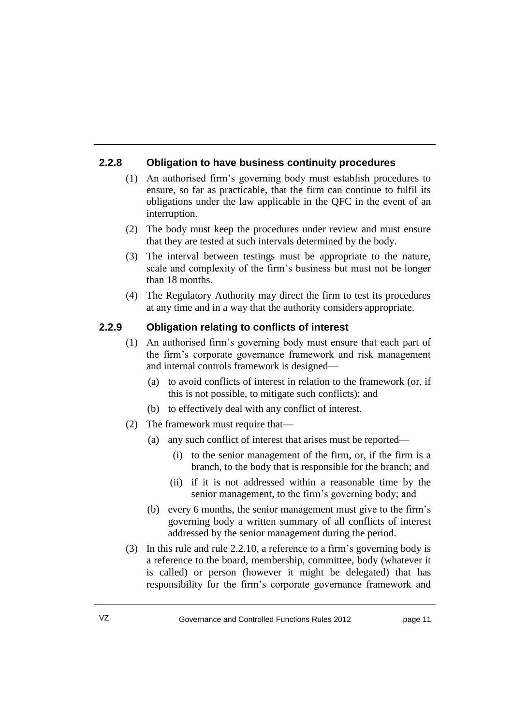### **2.2.8 Obligation to have business continuity procedures**

- (1) An authorised firm's governing body must establish procedures to ensure, so far as practicable, that the firm can continue to fulfil its obligations under the law applicable in the QFC in the event of an interruption.
- (2) The body must keep the procedures under review and must ensure that they are tested at such intervals determined by the body.
- (3) The interval between testings must be appropriate to the nature, scale and complexity of the firm's business but must not be longer than 18 months.
- (4) The Regulatory Authority may direct the firm to test its procedures at any time and in a way that the authority considers appropriate.

#### **2.2.9 Obligation relating to conflicts of interest**

- (1) An authorised firm's governing body must ensure that each part of the firm's corporate governance framework and risk management and internal controls framework is designed—
	- (a) to avoid conflicts of interest in relation to the framework (or, if this is not possible, to mitigate such conflicts); and
	- (b) to effectively deal with any conflict of interest.
- (2) The framework must require that—
	- (a) any such conflict of interest that arises must be reported—
		- (i) to the senior management of the firm, or, if the firm is a branch, to the body that is responsible for the branch; and
		- (ii) if it is not addressed within a reasonable time by the senior management, to the firm's governing body; and
	- (b) every 6 months, the senior management must give to the firm's governing body a written summary of all conflicts of interest addressed by the senior management during the period.
- (3) In this rule and rule 2.2.10, a reference to a firm's governing body is a reference to the board, membership, committee, body (whatever it is called) or person (however it might be delegated) that has responsibility for the firm's corporate governance framework and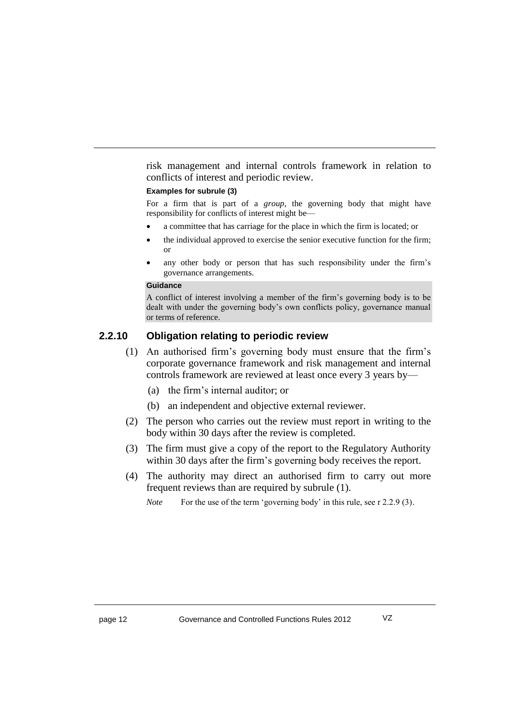risk management and internal controls framework in relation to conflicts of interest and periodic review.

#### **Examples for subrule (3)**

For a firm that is part of a *group*, the governing body that might have responsibility for conflicts of interest might be—

- a committee that has carriage for the place in which the firm is located; or
- the individual approved to exercise the senior executive function for the firm; or
- any other body or person that has such responsibility under the firm's governance arrangements.

#### **Guidance**

A conflict of interest involving a member of the firm's governing body is to be dealt with under the governing body's own conflicts policy, governance manual or terms of reference.

#### **2.2.10 Obligation relating to periodic review**

- (1) An authorised firm's governing body must ensure that the firm's corporate governance framework and risk management and internal controls framework are reviewed at least once every 3 years by—
	- (a) the firm's internal auditor; or
	- (b) an independent and objective external reviewer.
- (2) The person who carries out the review must report in writing to the body within 30 days after the review is completed.
- (3) The firm must give a copy of the report to the Regulatory Authority within 30 days after the firm's governing body receives the report.
- (4) The authority may direct an authorised firm to carry out more frequent reviews than are required by subrule (1).

*Note* For the use of the term 'governing body' in this rule, see r 2.2.9 (3).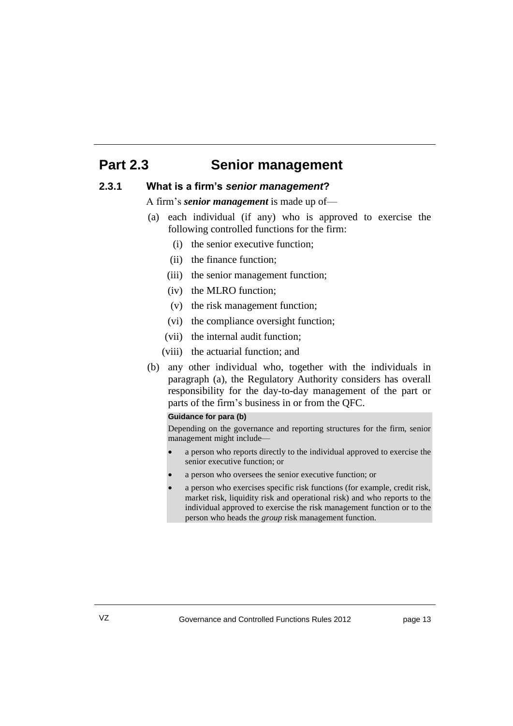# **Part 2.3 Senior management**

#### **2.3.1 What is a firm's** *senior management***?**

A firm's *senior management* is made up of—

- (a) each individual (if any) who is approved to exercise the following controlled functions for the firm:
	- (i) the senior executive function;
	- (ii) the finance function;
	- (iii) the senior management function;
	- (iv) the MLRO function;
	- (v) the risk management function;
	- (vi) the compliance oversight function;
	- (vii) the internal audit function;
	- (viii) the actuarial function; and
- (b) any other individual who, together with the individuals in paragraph (a), the Regulatory Authority considers has overall responsibility for the day-to-day management of the part or parts of the firm's business in or from the QFC.

#### **Guidance for para (b)**

Depending on the governance and reporting structures for the firm, senior management might include—

- a person who reports directly to the individual approved to exercise the senior executive function; or
- a person who oversees the senior executive function; or
- a person who exercises specific risk functions (for example, credit risk, market risk, liquidity risk and operational risk) and who reports to the individual approved to exercise the risk management function or to the person who heads the *group* risk management function.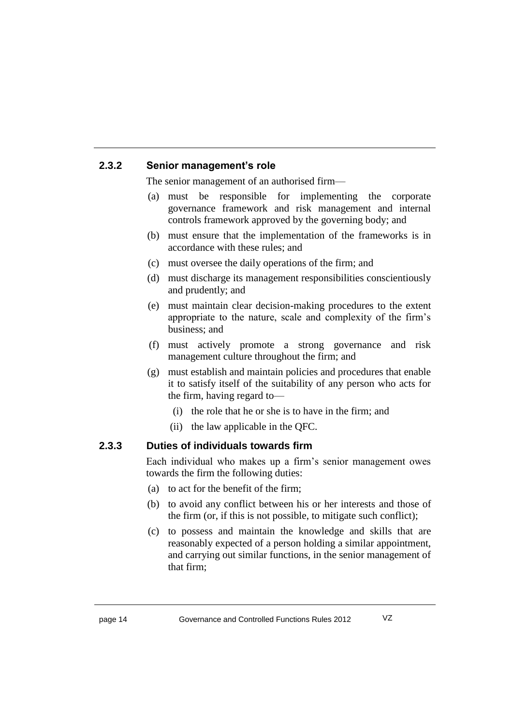#### **2.3.2 Senior management's role**

The senior management of an authorised firm—

- (a) must be responsible for implementing the corporate governance framework and risk management and internal controls framework approved by the governing body; and
- (b) must ensure that the implementation of the frameworks is in accordance with these rules; and
- (c) must oversee the daily operations of the firm; and
- (d) must discharge its management responsibilities conscientiously and prudently; and
- (e) must maintain clear decision-making procedures to the extent appropriate to the nature, scale and complexity of the firm's business; and
- (f) must actively promote a strong governance and risk management culture throughout the firm; and
- (g) must establish and maintain policies and procedures that enable it to satisfy itself of the suitability of any person who acts for the firm, having regard to—
	- (i) the role that he or she is to have in the firm; and
	- (ii) the law applicable in the QFC.

#### **2.3.3 Duties of individuals towards firm**

Each individual who makes up a firm's senior management owes towards the firm the following duties:

- (a) to act for the benefit of the firm;
- (b) to avoid any conflict between his or her interests and those of the firm (or, if this is not possible, to mitigate such conflict);
- (c) to possess and maintain the knowledge and skills that are reasonably expected of a person holding a similar appointment, and carrying out similar functions, in the senior management of that firm;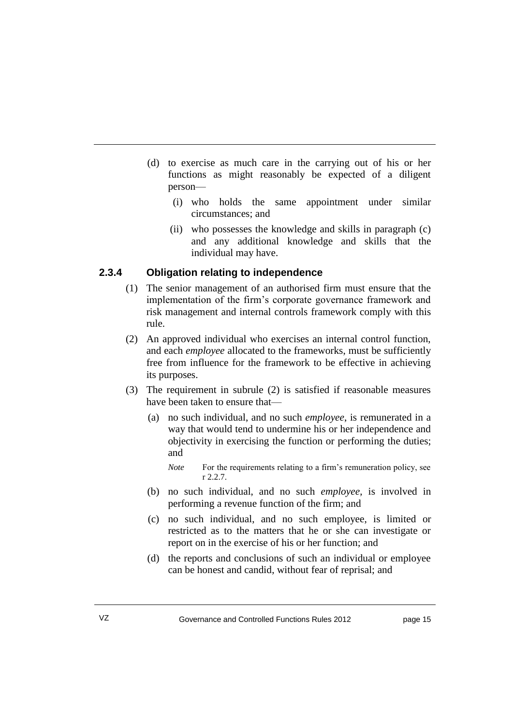- (d) to exercise as much care in the carrying out of his or her functions as might reasonably be expected of a diligent person—
	- (i) who holds the same appointment under similar circumstances; and
	- (ii) who possesses the knowledge and skills in paragraph (c) and any additional knowledge and skills that the individual may have.

#### **2.3.4 Obligation relating to independence**

- (1) The senior management of an authorised firm must ensure that the implementation of the firm's corporate governance framework and risk management and internal controls framework comply with this rule.
- (2) An approved individual who exercises an internal control function, and each *employee* allocated to the frameworks, must be sufficiently free from influence for the framework to be effective in achieving its purposes.
- (3) The requirement in subrule (2) is satisfied if reasonable measures have been taken to ensure that—
	- (a) no such individual, and no such *employee*, is remunerated in a way that would tend to undermine his or her independence and objectivity in exercising the function or performing the duties; and
		- *Note* For the requirements relating to a firm's remuneration policy, see r 2.2.7.
	- (b) no such individual, and no such *employee*, is involved in performing a revenue function of the firm; and
	- (c) no such individual, and no such employee, is limited or restricted as to the matters that he or she can investigate or report on in the exercise of his or her function; and
	- (d) the reports and conclusions of such an individual or employee can be honest and candid, without fear of reprisal; and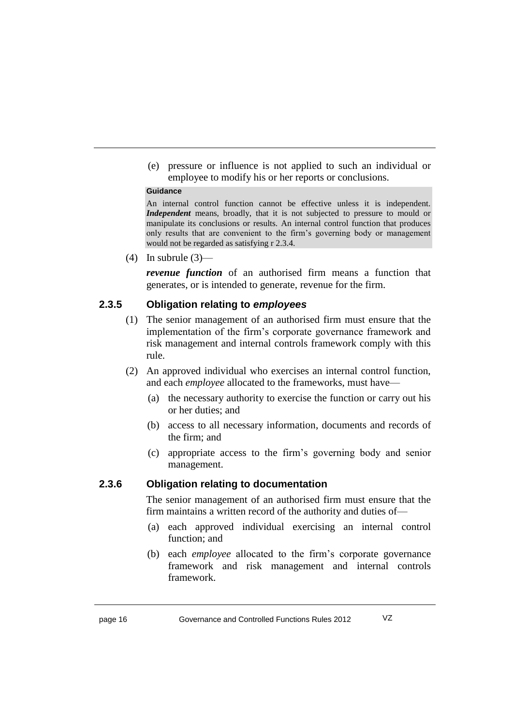(e) pressure or influence is not applied to such an individual or employee to modify his or her reports or conclusions.

#### **Guidance**

An internal control function cannot be effective unless it is independent. *Independent* means, broadly, that it is not subjected to pressure to mould or manipulate its conclusions or results. An internal control function that produces only results that are convenient to the firm's governing body or management would not be regarded as satisfying r 2.3.4.

(4) In subrule  $(3)$ —

*revenue function* of an authorised firm means a function that generates, or is intended to generate, revenue for the firm.

#### **2.3.5 Obligation relating to** *employees*

- (1) The senior management of an authorised firm must ensure that the implementation of the firm's corporate governance framework and risk management and internal controls framework comply with this rule.
- (2) An approved individual who exercises an internal control function, and each *employee* allocated to the frameworks, must have—
	- (a) the necessary authority to exercise the function or carry out his or her duties; and
	- (b) access to all necessary information, documents and records of the firm; and
	- (c) appropriate access to the firm's governing body and senior management.

#### **2.3.6 Obligation relating to documentation**

The senior management of an authorised firm must ensure that the firm maintains a written record of the authority and duties of—

- (a) each approved individual exercising an internal control function; and
- (b) each *employee* allocated to the firm's corporate governance framework and risk management and internal controls framework.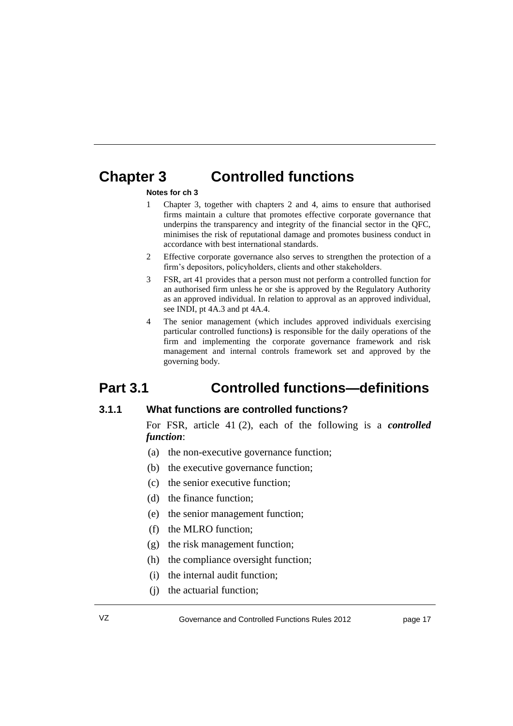# **Chapter 3 Controlled functions**

#### **Notes for ch 3**

- 1 Chapter 3, together with chapters 2 and 4, aims to ensure that authorised firms maintain a culture that promotes effective corporate governance that underpins the transparency and integrity of the financial sector in the QFC, minimises the risk of reputational damage and promotes business conduct in accordance with best international standards.
- 2 Effective corporate governance also serves to strengthen the protection of a firm's depositors, policyholders, clients and other stakeholders.
- 3 FSR, art 41 provides that a person must not perform a controlled function for an authorised firm unless he or she is approved by the Regulatory Authority as an approved individual. In relation to approval as an approved individual, see INDI, pt 4A.3 and pt 4A.4.
- 4 The senior management (which includes approved individuals exercising particular controlled functions**)** is responsible for the daily operations of the firm and implementing the corporate governance framework and risk management and internal controls framework set and approved by the governing body.

# **Part 3.1 Controlled functions—definitions**

#### **3.1.1 What functions are controlled functions?**

For FSR, article 41 (2), each of the following is a *controlled function*:

- (a) the non-executive governance function;
- (b) the executive governance function;
- (c) the senior executive function;
- (d) the finance function;
- (e) the senior management function;
- (f) the MLRO function;
- (g) the risk management function;
- (h) the compliance oversight function;
- (i) the internal audit function;
- (j) the actuarial function;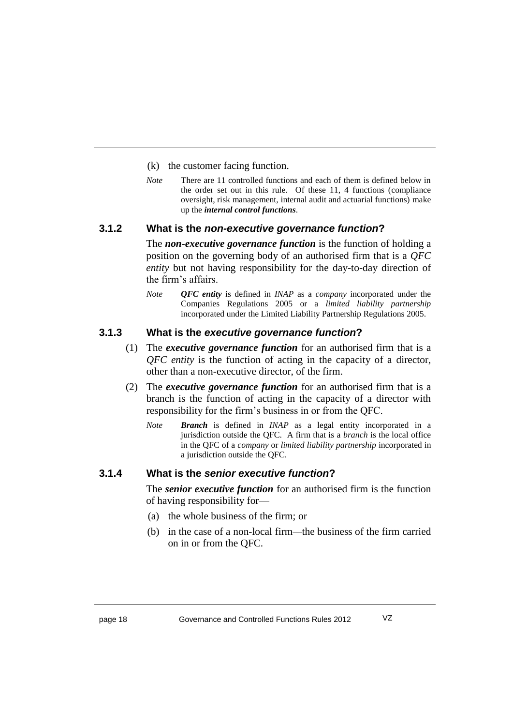- (k) the customer facing function.
- *Note* There are 11 controlled functions and each of them is defined below in the order set out in this rule. Of these 11, 4 functions (compliance oversight, risk management, internal audit and actuarial functions) make up the *internal control functions*.

#### **3.1.2 What is the** *non-executive governance function***?**

The *non-executive governance function* is the function of holding a position on the governing body of an authorised firm that is a *QFC entity* but not having responsibility for the day-to-day direction of the firm's affairs.

*Note QFC entity* is defined in *INAP* as a *company* incorporated under the Companies Regulations 2005 or a *limited liability partnership* incorporated under the Limited Liability Partnership Regulations 2005.

#### **3.1.3 What is the** *executive governance function***?**

- (1) The *executive governance function* for an authorised firm that is a *QFC entity* is the function of acting in the capacity of a director*,*  other than a non-executive director, of the firm.
- (2) The *executive governance function* for an authorised firm that is a branch is the function of acting in the capacity of a director with responsibility for the firm's business in or from the QFC.
	- *Note Branch* is defined in *INAP* as a legal entity incorporated in a jurisdiction outside the QFC. A firm that is a *branch* is the local office in the QFC of a *company* or *limited liability partnership* incorporated in a jurisdiction outside the QFC.

#### **3.1.4 What is the** *senior executive function***?**

The *senior executive function* for an authorised firm is the function of having responsibility for—

- (a) the whole business of the firm; or
- (b) in the case of a non-local firm*—*the business of the firm carried on in or from the QFC*.*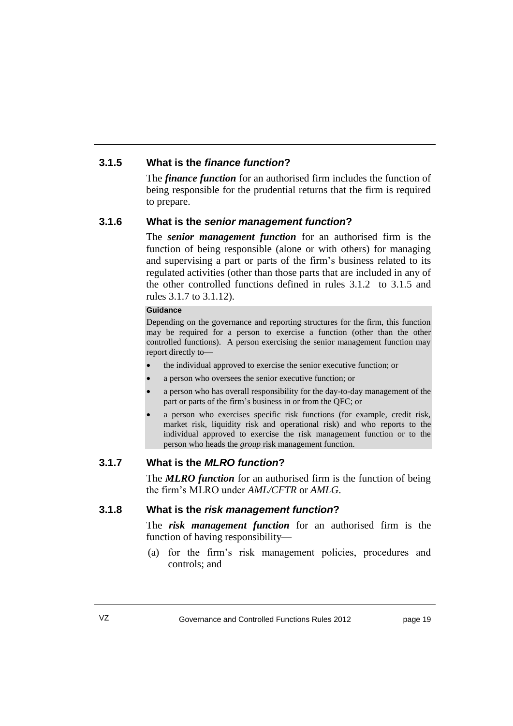### **3.1.5 What is the** *finance function***?**

The *finance function* for an authorised firm includes the function of being responsible for the prudential returns that the firm is required to prepare.

#### **3.1.6 What is the** *senior management function***?**

The *senior management function* for an authorised firm is the function of being responsible (alone or with others) for managing and supervising a part or parts of the firm's business related to its regulated activities (other than those parts that are included in any of the other controlled functions defined in rules 3.1.2 to 3.1.5 and rules 3.1.7 to 3.1.12).

#### **Guidance**

Depending on the governance and reporting structures for the firm, this function may be required for a person to exercise a function (other than the other controlled functions). A person exercising the senior management function may report directly to—

- the individual approved to exercise the senior executive function; or
- a person who oversees the senior executive function; or
- a person who has overall responsibility for the day-to-day management of the part or parts of the firm's business in or from the QFC; or
- a person who exercises specific risk functions (for example, credit risk, market risk, liquidity risk and operational risk) and who reports to the individual approved to exercise the risk management function or to the person who heads the *group* risk management function.

### **3.1.7 What is the** *MLRO function***?**

The *MLRO function* for an authorised firm is the function of being the firm's MLRO under *AML/CFTR* or *AMLG*.

#### **3.1.8 What is the** *risk management function***?**

The *risk management function* for an authorised firm is the function of having responsibility—

(a) for the firm's risk management policies, procedures and controls; and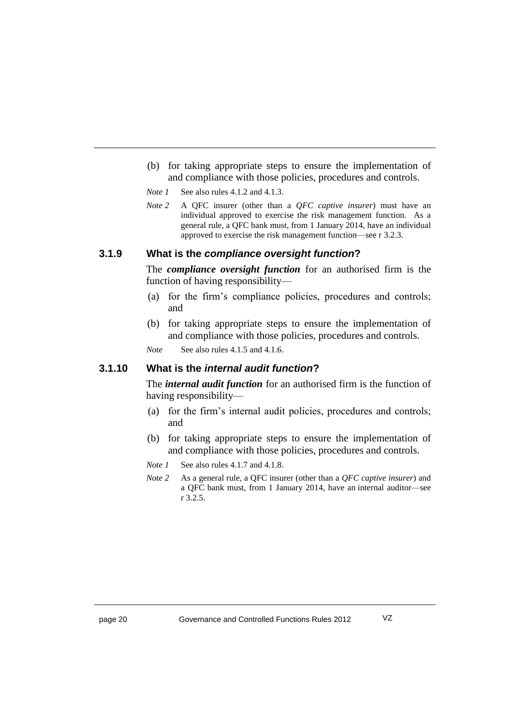(b) for taking appropriate steps to ensure the implementation of and compliance with those policies, procedures and controls.

*Note 1* See also rules 4.1.2 and 4.1.3.

*Note 2* A QFC insurer (other than a *QFC captive insurer*) must have an individual approved to exercise the risk management function. As a general rule, a QFC bank must, from 1 January 2014, have an individual approved to exercise the risk management function—see r 3.2.3.

#### **3.1.9 What is the** *compliance oversight function***?**

The *compliance oversight function* for an authorised firm is the function of having responsibility—

- (a) for the firm's compliance policies, procedures and controls; and
- (b) for taking appropriate steps to ensure the implementation of and compliance with those policies, procedures and controls.

*Note* See also rules 4.1.5 and 4.1.6.

#### **3.1.10 What is the** *internal audit function***?**

The *internal audit function* for an authorised firm is the function of having responsibility—

- (a) for the firm's internal audit policies, procedures and controls; and
- (b) for taking appropriate steps to ensure the implementation of and compliance with those policies, procedures and controls.
- *Note 1* See also rules 4.1.7 and 4.1.8.
- *Note 2* As a general rule, a QFC insurer (other than a *QFC captive insurer*) and a QFC bank must, from 1 January 2014, have an internal auditor—see r 3.2.5.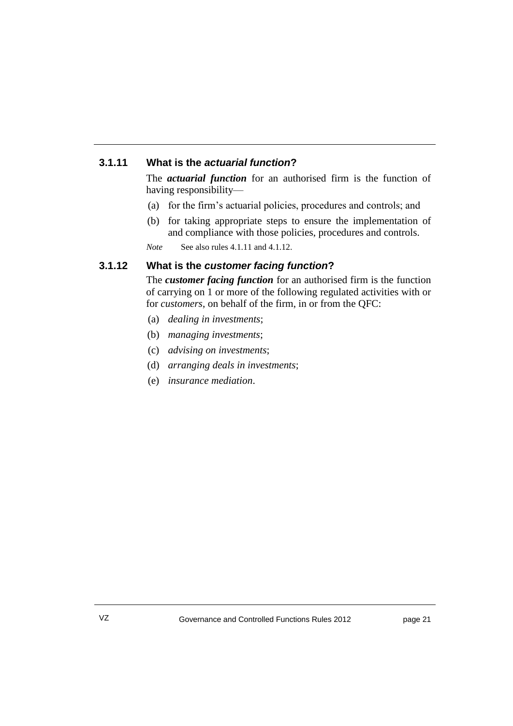### **3.1.11 What is the** *actuarial function***?**

The *actuarial function* for an authorised firm is the function of having responsibility—

- (a) for the firm's actuarial policies, procedures and controls; and
- (b) for taking appropriate steps to ensure the implementation of and compliance with those policies, procedures and controls.

*Note* See also rules 4.1.11 and 4.1.12.

#### **3.1.12 What is the** *customer facing function***?**

The *customer facing function* for an authorised firm is the function of carrying on 1 or more of the following regulated activities with or for *customers*, on behalf of the firm, in or from the QFC:

- (a) *[dealing in investments](javascript:void(gwin=window.open()*;
- (b) *[managing investments](javascript:void(gwin=window.open()*;
- (c) *[advising on investments](javascript:void(gwin=window.open()*;
- (d) *[arranging deals in](javascript:void(gwin=window.open() investments*;
- (e) *insurance mediation*.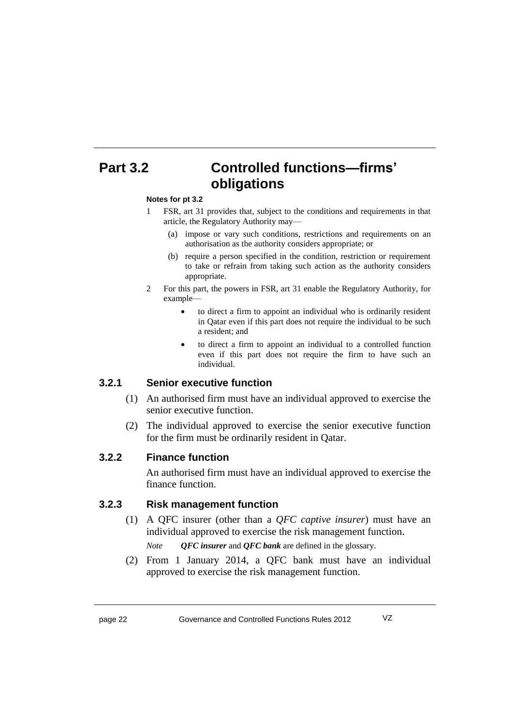# **Part 3.2 Controlled functions—firms' obligations**

#### **Notes for pt 3.2**

- 1 FSR, art 31 provides that, subject to the conditions and requirements in that article, the Regulatory Authority may—
	- (a) impose or vary such conditions, restrictions and requirements on an authorisation as the authority considers appropriate; or
	- (b) require a person specified in the condition, restriction or requirement to take or refrain from taking such action as the authority considers appropriate.
- 2 For this part, the powers in FSR, art 31 enable the Regulatory Authority, for example
	- to direct a firm to appoint an individual who is ordinarily resident in Qatar even if this part does not require the individual to be such a resident; and
	- to direct a firm to appoint an individual to a controlled function even if this part does not require the firm to have such an individual.

#### **3.2.1 Senior executive function**

- (1) An authorised firm must have an individual approved to exercise the senior executive function.
- (2) The individual approved to exercise the senior executive function for the firm must be ordinarily resident in Qatar.

#### **3.2.2 Finance function**

An authorised firm must have an individual approved to exercise the finance function.

#### **3.2.3 Risk management function**

(1) A QFC insurer (other than a *QFC captive insurer*) must have an individual approved to exercise the risk management function.

*Note QFC insurer* and *QFC bank* are defined in the glossary.

(2) From 1 January 2014, a QFC bank must have an individual approved to exercise the risk management function.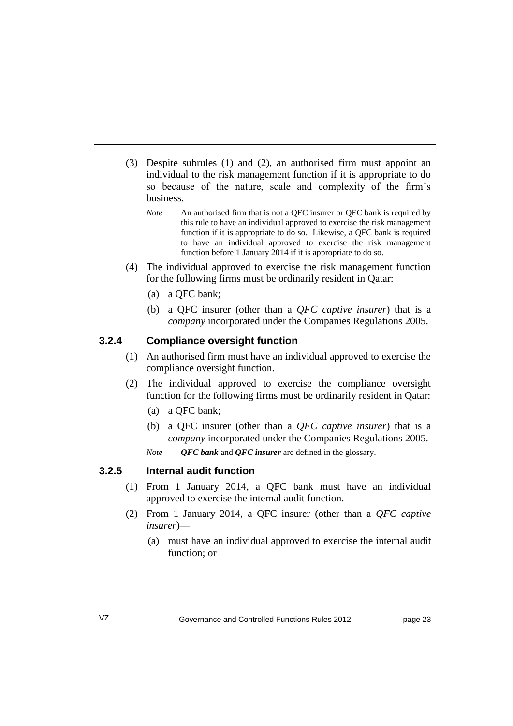- (3) Despite subrules (1) and (2), an authorised firm must appoint an individual to the risk management function if it is appropriate to do so because of the nature, scale and complexity of the firm's business.
	- *Note* An authorised firm that is not a QFC insurer or QFC bank is required by this rule to have an individual approved to exercise the risk management function if it is appropriate to do so. Likewise, a QFC bank is required to have an individual approved to exercise the risk management function before 1 January 2014 if it is appropriate to do so.
- (4) The individual approved to exercise the risk management function for the following firms must be ordinarily resident in Qatar:
	- (a) a QFC bank;
	- (b) a QFC insurer (other than a *QFC captive insurer*) that is a *company* incorporated under the Companies Regulations 2005.

#### **3.2.4 Compliance oversight function**

- (1) An authorised firm must have an individual approved to exercise the compliance oversight function.
- (2) The individual approved to exercise the compliance oversight function for the following firms must be ordinarily resident in Qatar:
	- (a) a QFC bank;
	- (b) a QFC insurer (other than a *QFC captive insurer*) that is a *company* incorporated under the Companies Regulations 2005.
	- *Note QFC bank* and *QFC insurer* are defined in the glossary.

#### **3.2.5 Internal audit function**

- (1) From 1 January 2014, a QFC bank must have an individual approved to exercise the internal audit function.
- (2) From 1 January 2014, a QFC insurer (other than a *QFC captive insurer*)—
	- (a) must have an individual approved to exercise the internal audit function; or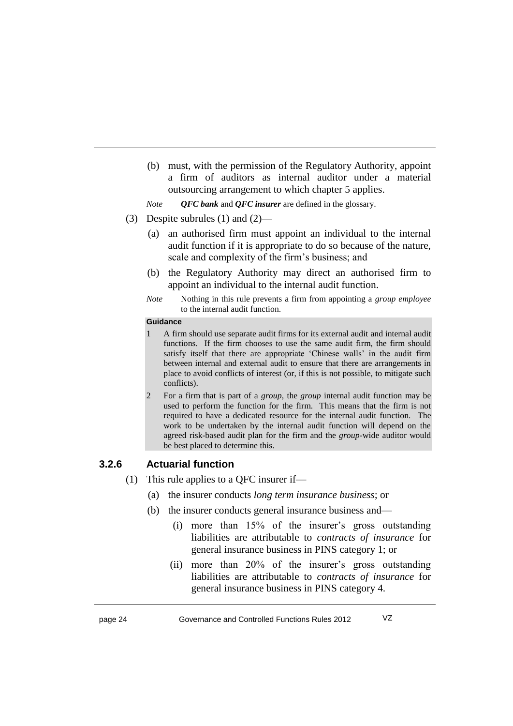(b) must, with the permission of the Regulatory Authority, appoint a firm of auditors as internal auditor under a material outsourcing arrangement to which chapter 5 applies.

*Note QFC bank* and *QFC insurer* are defined in the glossary.

- (3) Despite subrules (1) and (2)—
	- (a) an authorised firm must appoint an individual to the internal audit function if it is appropriate to do so because of the nature, scale and complexity of the firm's business; and
	- (b) the Regulatory Authority may direct an authorised firm to appoint an individual to the internal audit function.
	- *Note* Nothing in this rule prevents a firm from appointing a *group employee*  to the internal audit function.

#### **Guidance**

- 1 A firm should use separate audit firms for its external audit and internal audit functions. If the firm chooses to use the same audit firm, the firm should satisfy itself that there are appropriate 'Chinese walls' in the audit firm between internal and external audit to ensure that there are arrangements in place to avoid conflicts of interest (or, if this is not possible, to mitigate such conflicts).
- 2 For a firm that is part of a *group*, the *group* internal audit function may be used to perform the function for the firm. This means that the firm is not required to have a dedicated resource for the internal audit function. The work to be undertaken by the internal audit function will depend on the agreed risk-based audit plan for the firm and the *group*-wide auditor would be best placed to determine this.

#### **3.2.6 Actuarial function**

- (1) This rule applies to a QFC insurer if—
	- (a) the insurer conducts *long term insurance business*; or
	- (b) the insurer conducts general insurance business and—
		- (i) more than 15% of the insurer's gross outstanding liabilities are attributable to *contracts of insurance* for general insurance business in PINS category 1; or
		- (ii) more than 20% of the insurer's gross outstanding liabilities are attributable to *contracts of insurance* for general insurance business in PINS category 4.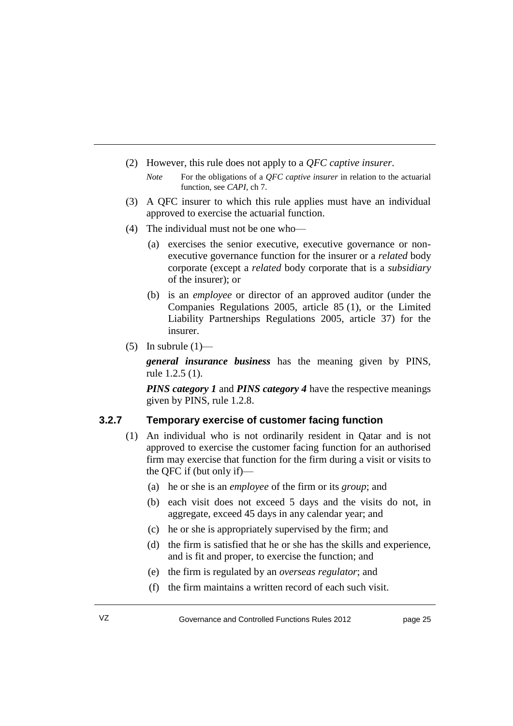- (2) However, this rule does not apply to a *QFC captive insurer*.
	- *Note* For the obligations of a *QFC captive insurer* in relation to the actuarial function, see *CAPI*, ch 7.
- (3) A QFC insurer to which this rule applies must have an individual approved to exercise the actuarial function.
- (4) The individual must not be one who—
	- (a) exercises the senior executive, executive governance or nonexecutive governance function for the insurer or a *related* body corporate (except a *related* body corporate that is a *subsidiary* of the insurer); or
	- (b) is an *employee* or director of an approved auditor (under the Companies Regulations 2005, article 85 (1), or the Limited Liability Partnerships Regulations 2005, article 37) for the insurer.
- (5) In subrule  $(1)$ —

*general insurance business* has the meaning given by PINS, rule 1.2.5 (1).

*PINS category 1* and *PINS category 4* have the respective meanings given by PINS, rule 1.2.8.

#### **3.2.7 Temporary exercise of customer facing function**

- (1) An individual who is not ordinarily resident in Qatar and is not approved to exercise the customer facing function for an authorised firm may exercise that function for the firm during a visit or visits to the QFC if (but only if)—
	- (a) he or she is an *employee* of the firm or its *group*; and
	- (b) each visit does not exceed 5 days and the visits do not, in aggregate, exceed 45 days in any calendar year; and
	- (c) he or she is appropriately supervised by the firm; and
	- (d) the firm is satisfied that he or she has the skills and experience, and is fit and proper, to exercise the function; and
	- (e) the firm is regulated by an *overseas regulator*; and
	- (f) the firm maintains a written record of each such visit.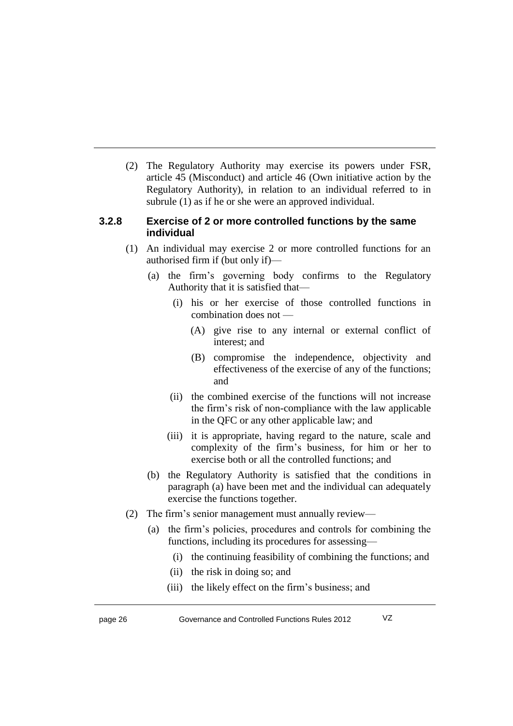(2) The Regulatory Authority may exercise its powers under FSR, article 45 (Misconduct) and article 46 (Own initiative action by the Regulatory Authority), in relation to an individual referred to in subrule (1) as if he or she were an approved individual.

#### **3.2.8 Exercise of 2 or more controlled functions by the same individual**

- (1) An individual may exercise 2 or more controlled functions for an authorised firm if (but only if)—
	- (a) the firm's governing body confirms to the Regulatory Authority that it is satisfied that—
		- (i) his or her exercise of those controlled functions in combination does not —
			- (A) give rise to any internal or external conflict of interest; and
			- (B) compromise the independence, objectivity and effectiveness of the exercise of any of the functions; and
		- (ii) the combined exercise of the functions will not increase the firm's risk of non-compliance with the law applicable in the QFC or any other applicable law; and
		- (iii) it is appropriate, having regard to the nature, scale and complexity of the firm's business, for him or her to exercise both or all the controlled functions; and
	- (b) the Regulatory Authority is satisfied that the conditions in paragraph (a) have been met and the individual can adequately exercise the functions together.
- (2) The firm's senior management must annually review—
	- (a) the firm's policies, procedures and controls for combining the functions, including its procedures for assessing—
		- (i) the continuing feasibility of combining the functions; and
		- (ii) the risk in doing so; and
		- (iii) the likely effect on the firm's business; and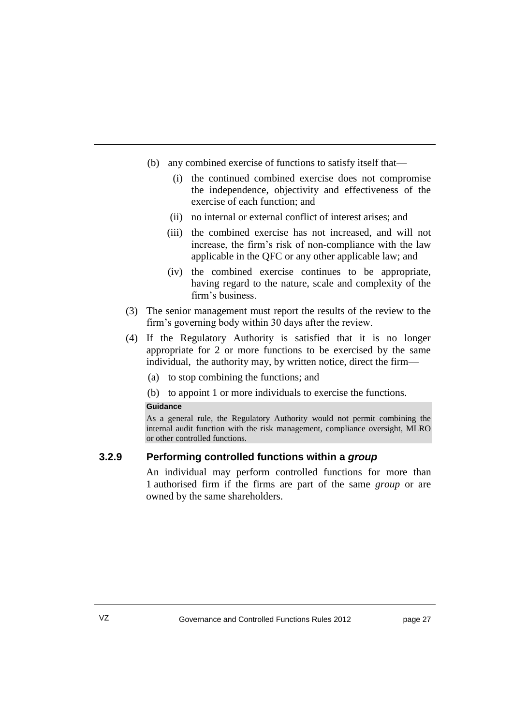- (b) any combined exercise of functions to satisfy itself that—
	- (i) the continued combined exercise does not compromise the independence, objectivity and effectiveness of the exercise of each function; and
	- (ii) no internal or external conflict of interest arises; and
	- (iii) the combined exercise has not increased, and will not increase, the firm's risk of non-compliance with the law applicable in the QFC or any other applicable law; and
	- (iv) the combined exercise continues to be appropriate, having regard to the nature, scale and complexity of the firm's business.
- (3) The senior management must report the results of the review to the firm's governing body within 30 days after the review.
- (4) If the Regulatory Authority is satisfied that it is no longer appropriate for 2 or more functions to be exercised by the same individual, the authority may, by written notice, direct the firm—
	- (a) to stop combining the functions; and
	- (b) to appoint 1 or more individuals to exercise the functions.

#### **Guidance**

As a general rule, the Regulatory Authority would not permit combining the internal audit function with the risk management, compliance oversight, MLRO or other controlled functions.

#### **3.2.9 Performing controlled functions within a** *group*

An individual may perform controlled functions for more than 1 authorised firm if the firms are part of the same *group* or are owned by the same shareholders.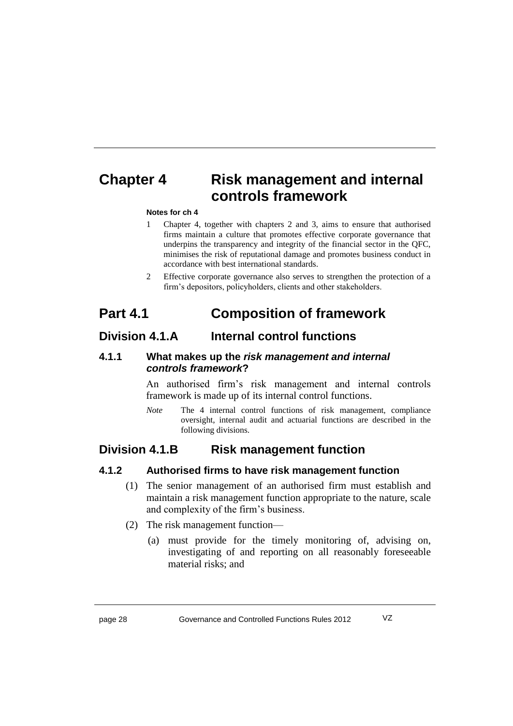# **Chapter 4 Risk management and internal controls framework**

#### **Notes for ch 4**

- 1 Chapter 4, together with chapters 2 and 3, aims to ensure that authorised firms maintain a culture that promotes effective corporate governance that underpins the transparency and integrity of the financial sector in the QFC, minimises the risk of reputational damage and promotes business conduct in accordance with best international standards.
- 2 Effective corporate governance also serves to strengthen the protection of a firm's depositors, policyholders, clients and other stakeholders.

# **Part 4.1 Composition of framework**

### **Division 4.1.A Internal control functions**

#### **4.1.1 What makes up the** *risk management and internal controls framework***?**

An authorised firm's risk management and internal controls framework is made up of its internal control functions.

*Note* The 4 internal control functions of risk management, compliance oversight, internal audit and actuarial functions are described in the following divisions.

### **Division 4.1.B Risk management function**

#### **4.1.2 Authorised firms to have risk management function**

- (1) The senior management of an authorised firm must establish and maintain a risk management function appropriate to the nature, scale and complexity of the firm's business.
- (2) The risk management function—
	- (a) must provide for the timely monitoring of, advising on, investigating of and reporting on all reasonably foreseeable material risks; and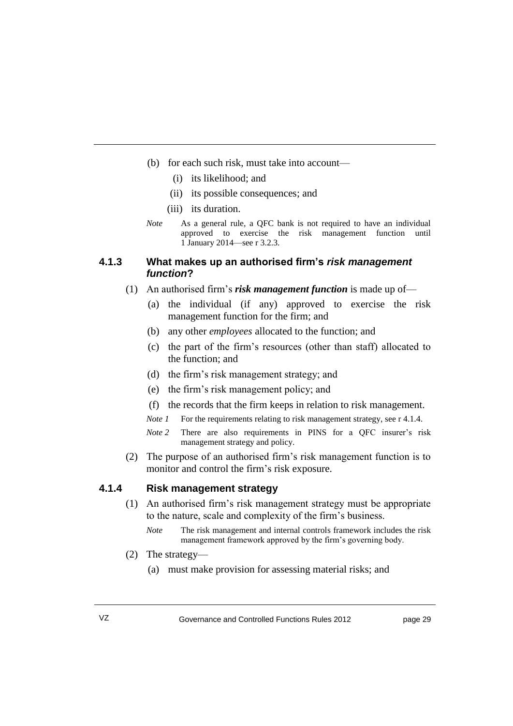- (b) for each such risk, must take into account—
	- (i) its likelihood; and
	- (ii) its possible consequences; and
	- (iii) its duration.
- *Note* As a general rule, a QFC bank is not required to have an individual approved to exercise the risk management function until 1 January 2014—see r 3.2.3.

#### **4.1.3 What makes up an authorised firm's** *risk management function***?**

- (1) An authorised firm's *risk management function* is made up of—
	- (a) the individual (if any) approved to exercise the risk management function for the firm; and
	- (b) any other *employees* allocated to the function; and
	- (c) the part of the firm's resources (other than staff) allocated to the function; and
	- (d) the firm's risk management strategy; and
	- (e) the firm's risk management policy; and
	- (f) the records that the firm keeps in relation to risk management.
	- *Note 1* For the requirements relating to risk management strategy, see r 4.1.4.
	- *Note 2* There are also requirements in PINS for a OFC insurer's risk management strategy and policy.
- (2) The purpose of an authorised firm's risk management function is to monitor and control the firm's risk exposure.

#### **4.1.4 Risk management strategy**

- (1) An authorised firm's risk management strategy must be appropriate to the nature, scale and complexity of the firm's business.
	- *Note* The risk management and internal controls framework includes the risk management framework approved by the firm's governing body.
- (2) The strategy—
	- (a) must make provision for assessing material risks; and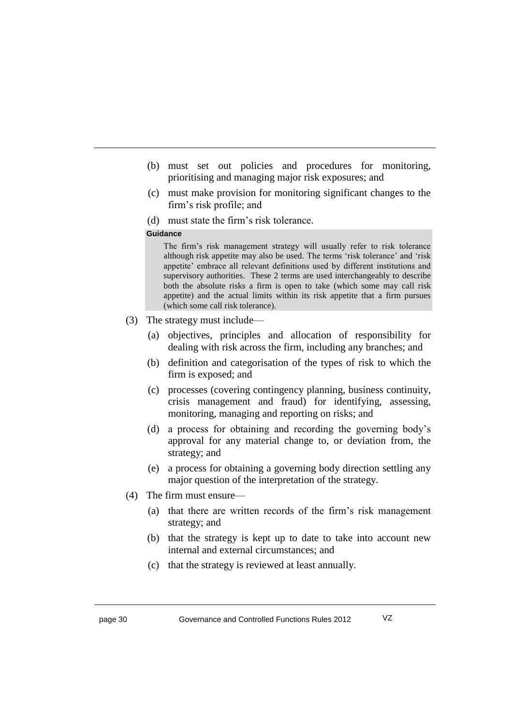- (b) must set out policies and procedures for monitoring, prioritising and managing major risk exposures; and
- (c) must make provision for monitoring significant changes to the firm's risk profile; and
- (d) must state the firm's risk tolerance.

#### **Guidance**

The firm's risk management strategy will usually refer to risk tolerance although risk appetite may also be used. The terms 'risk tolerance' and 'risk appetite' embrace all relevant definitions used by different institutions and supervisory authorities. These 2 terms are used interchangeably to describe both the absolute risks a firm is open to take (which some may call risk appetite) and the actual limits within its risk appetite that a firm pursues (which some call risk tolerance).

- (3) The strategy must include—
	- (a) objectives, principles and allocation of responsibility for dealing with risk across the firm, including any branches; and
	- (b) definition and categorisation of the types of risk to which the firm is exposed; and
	- (c) processes (covering contingency planning, business continuity, crisis management and fraud) for identifying, assessing, monitoring, managing and reporting on risks; and
	- (d) a process for obtaining and recording the governing body's approval for any material change to, or deviation from, the strategy; and
	- (e) a process for obtaining a governing body direction settling any major question of the interpretation of the strategy.
- (4) The firm must ensure—
	- (a) that there are written records of the firm's risk management strategy; and
	- (b) that the strategy is kept up to date to take into account new internal and external circumstances; and
	- (c) that the strategy is reviewed at least annually.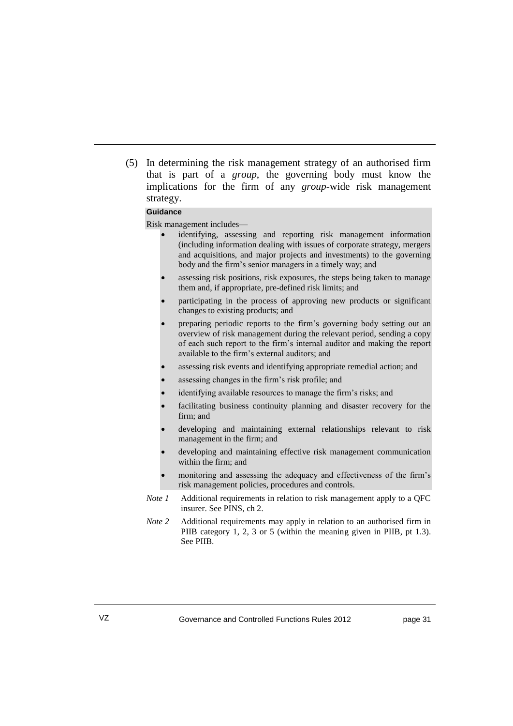(5) In determining the risk management strategy of an authorised firm that is part of a *group*, the governing body must know the implications for the firm of any *group*-wide risk management strategy.

#### **Guidance**

Risk management includes—

- identifying, assessing and reporting risk management information (including information dealing with issues of corporate strategy, mergers and acquisitions, and major projects and investments) to the governing body and the firm's senior managers in a timely way; and
- assessing risk positions, risk exposures, the steps being taken to manage them and, if appropriate, pre-defined risk limits; and
- participating in the process of approving new products or significant changes to existing products; and
- preparing periodic reports to the firm's governing body setting out an overview of risk management during the relevant period, sending a copy of each such report to the firm's internal auditor and making the report available to the firm's external auditors; and
- assessing risk events and identifying appropriate remedial action; and
- assessing changes in the firm's risk profile; and
- identifying available resources to manage the firm's risks; and
- facilitating business continuity planning and disaster recovery for the firm; and
- developing and maintaining external relationships relevant to risk management in the firm; and
- developing and maintaining effective risk management communication within the firm; and
- monitoring and assessing the adequacy and effectiveness of the firm's risk management policies, procedures and controls.
- *Note 1* Additional requirements in relation to risk management apply to a OFC insurer. See PINS, ch 2.
- *Note 2* Additional requirements may apply in relation to an authorised firm in PIIB category 1, 2, 3 or 5 (within the meaning given in PIIB, pt 1.3). See PIIB.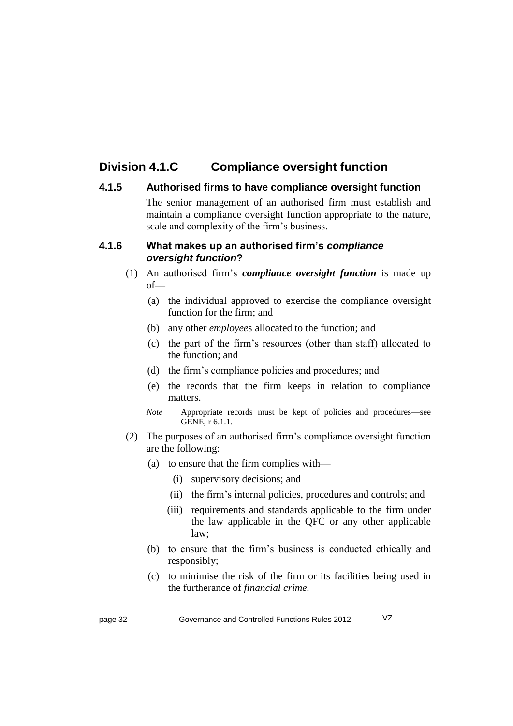# **Division 4.1.C Compliance oversight function**

#### **4.1.5 Authorised firms to have compliance oversight function**

The senior management of an authorised firm must establish and maintain a compliance oversight function appropriate to the nature, scale and complexity of the firm's business.

#### **4.1.6 What makes up an authorised firm's** *compliance oversight function***?**

- (1) An authorised firm's *compliance oversight function* is made up of—
	- (a) the individual approved to exercise the compliance oversight function for the firm; and
	- (b) any other *employee*s allocated to the function; and
	- (c) the part of the firm's resources (other than staff) allocated to the function; and
	- (d) the firm's compliance policies and procedures; and
	- (e) the records that the firm keeps in relation to compliance matters.
	- *Note* Appropriate records must be kept of policies and procedures—see GENE, r 6.1.1.
- (2) The purposes of an authorised firm's compliance oversight function are the following:
	- (a) to ensure that the firm complies with—
		- (i) supervisory decisions; and
		- (ii) the firm's internal policies, procedures and controls; and
		- (iii) requirements and standards applicable to the firm under the law applicable in the QFC or any other applicable law;
	- (b) to ensure that the firm's business is conducted ethically and responsibly;
	- (c) to minimise the risk of the firm or its facilities being used in the furtherance of *financial crime.*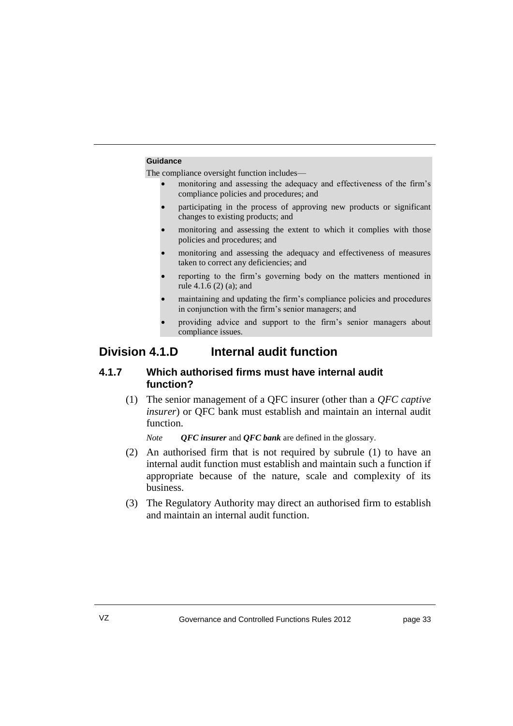#### **Guidance**

The compliance oversight function includes—

- monitoring and assessing the adequacy and effectiveness of the firm's compliance policies and procedures; and
- participating in the process of approving new products or significant changes to existing products; and
- monitoring and assessing the extent to which it complies with those policies and procedures; and
- monitoring and assessing the adequacy and effectiveness of measures taken to correct any deficiencies; and
- reporting to the firm's governing body on the matters mentioned in rule 4.1.6 (2) (a); and
- maintaining and updating the firm's compliance policies and procedures in conjunction with the firm's senior managers; and
- providing advice and support to the firm's senior managers about compliance issues.

### **Division 4.1.D Internal audit function**

#### **4.1.7 Which authorised firms must have internal audit function?**

(1) The senior management of a QFC insurer (other than a *QFC captive insurer*) or QFC bank must establish and maintain an internal audit function.

*Note QFC insurer* and *QFC bank* are defined in the glossary.

- (2) An authorised firm that is not required by subrule (1) to have an internal audit function must establish and maintain such a function if appropriate because of the nature, scale and complexity of its business.
- (3) The Regulatory Authority may direct an authorised firm to establish and maintain an internal audit function.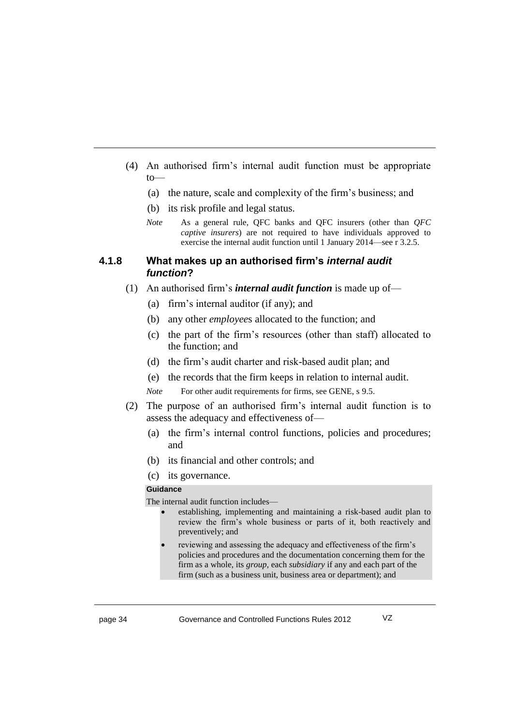- (4) An authorised firm's internal audit function must be appropriate  $to$ —
	- (a) the nature, scale and complexity of the firm's business; and
	- (b) its risk profile and legal status.
	- *Note* As a general rule, QFC banks and QFC insurers (other than *QFC captive insurers*) are not required to have individuals approved to exercise the internal audit function until 1 January 2014—see r 3.2.5.

#### **4.1.8 What makes up an authorised firm's** *internal audit function***?**

- (1) An authorised firm's *internal audit function* is made up of—
	- (a) firm's internal auditor (if any); and
	- (b) any other *employee*s allocated to the function; and
	- (c) the part of the firm's resources (other than staff) allocated to the function; and
	- (d) the firm's audit charter and risk-based audit plan; and
	- (e) the records that the firm keeps in relation to internal audit.
	- *Note* For other audit requirements for firms, see GENE, s 9.5.
- (2) The purpose of an authorised firm's internal audit function is to assess the adequacy and effectiveness of—
	- (a) the firm's internal control functions, policies and procedures; and
	- (b) its financial and other controls; and
	- (c) its governance.

#### **Guidance**

The internal audit function includes—

- establishing, implementing and maintaining a risk-based audit plan to review the firm's whole business or parts of it, both reactively and preventively; and
- reviewing and assessing the adequacy and effectiveness of the firm's policies and procedures and the documentation concerning them for the firm as a whole, its *group*, each *subsidiary* if any and each part of the firm (such as a business unit, business area or department); and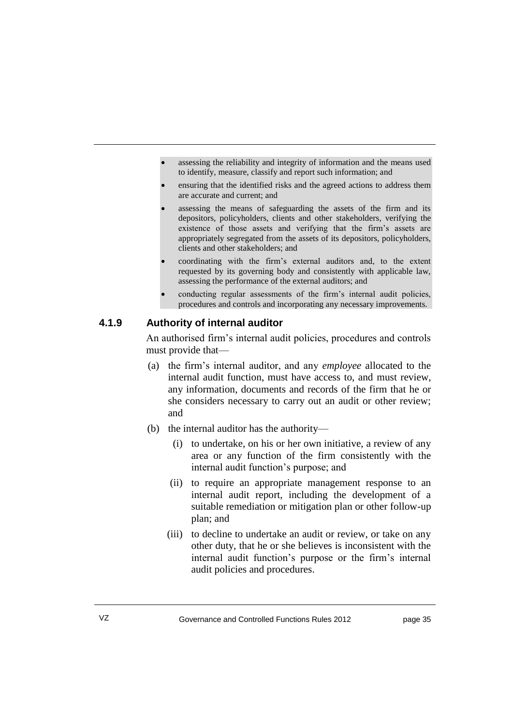- assessing the reliability and integrity of information and the means used to identify, measure, classify and report such information; and
- ensuring that the identified risks and the agreed actions to address them are accurate and current; and
- assessing the means of safeguarding the assets of the firm and its depositors, policyholders, clients and other stakeholders, verifying the existence of those assets and verifying that the firm's assets are appropriately segregated from the assets of its depositors, policyholders, clients and other stakeholders; and
- coordinating with the firm's external auditors and, to the extent requested by its governing body and consistently with applicable law, assessing the performance of the external auditors; and
- conducting regular assessments of the firm's internal audit policies, procedures and controls and incorporating any necessary improvements.

#### **4.1.9 Authority of internal auditor**

An authorised firm's internal audit policies, procedures and controls must provide that—

- (a) the firm's internal auditor, and any *employee* allocated to the internal audit function, must have access to, and must review, any information, documents and records of the firm that he or she considers necessary to carry out an audit or other review; and
- (b) the internal auditor has the authority—
	- (i) to undertake, on his or her own initiative, a review of any area or any function of the firm consistently with the internal audit function's purpose; and
	- (ii) to require an appropriate management response to an internal audit report, including the development of a suitable remediation or mitigation plan or other follow-up plan; and
	- (iii) to decline to undertake an audit or review, or take on any other duty, that he or she believes is inconsistent with the internal audit function's purpose or the firm's internal audit policies and procedures.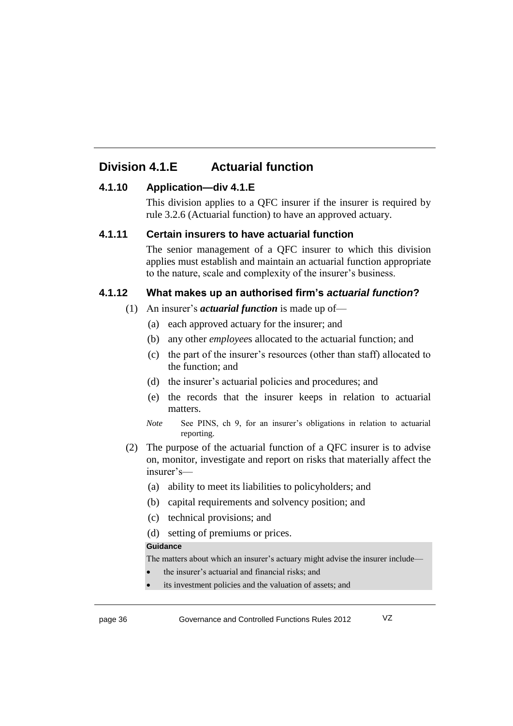### **Division 4.1.E Actuarial function**

#### **4.1.10 Application—div 4.1.E**

This division applies to a QFC insurer if the insurer is required by rule 3.2.6 (Actuarial function) to have an approved actuary.

#### **4.1.11 Certain insurers to have actuarial function**

The senior management of a QFC insurer to which this division applies must establish and maintain an actuarial function appropriate to the nature, scale and complexity of the insurer's business.

#### **4.1.12 What makes up an authorised firm's** *actuarial function***?**

#### (1) An insurer's *actuarial function* is made up of—

- (a) each approved actuary for the insurer; and
- (b) any other *employee*s allocated to the actuarial function; and
- (c) the part of the insurer's resources (other than staff) allocated to the function; and
- (d) the insurer's actuarial policies and procedures; and
- (e) the records that the insurer keeps in relation to actuarial matters.
- *Note* See PINS, ch 9, for an insurer's obligations in relation to actuarial reporting.
- (2) The purpose of the actuarial function of a QFC insurer is to advise on, monitor, investigate and report on risks that materially affect the insurer's—
	- (a) ability to meet its liabilities to policyholders; and
	- (b) capital requirements and solvency position; and
	- (c) technical provisions; and
	- (d) setting of premiums or prices.

#### **Guidance**

The matters about which an insurer's actuary might advise the insurer include—

- the insurer's actuarial and financial risks; and
- its investment policies and the valuation of assets; and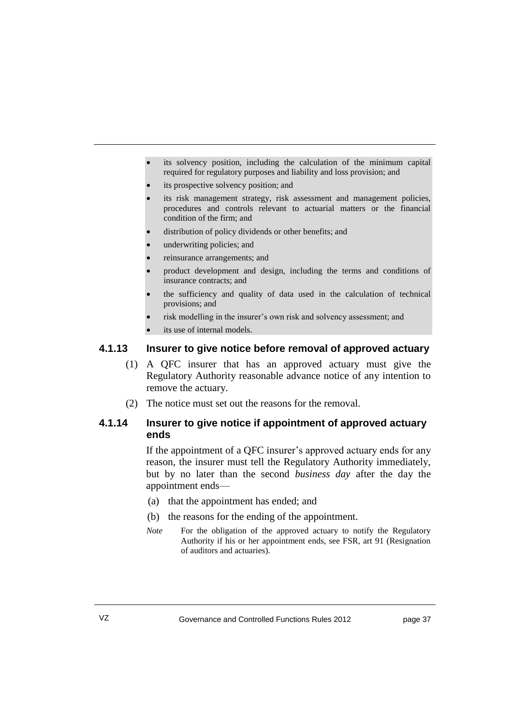- its solvency position, including the calculation of the minimum capital required for regulatory purposes and liability and loss provision; and
- its prospective solvency position; and
- its risk management strategy, risk assessment and management policies, procedures and controls relevant to actuarial matters or the financial condition of the firm; and
- distribution of policy dividends or other benefits; and
- underwriting policies; and
- reinsurance arrangements; and
- product development and design, including the terms and conditions of insurance contracts; and
- the sufficiency and quality of data used in the calculation of technical provisions; and
- risk modelling in the insurer's own risk and solvency assessment; and
- its use of internal models.

#### **4.1.13 Insurer to give notice before removal of approved actuary**

- (1) A QFC insurer that has an approved actuary must give the Regulatory Authority reasonable advance notice of any intention to remove the actuary.
- (2) The notice must set out the reasons for the removal.

#### **4.1.14 Insurer to give notice if appointment of approved actuary ends**

If the appointment of a QFC insurer's approved actuary ends for any reason, the insurer must tell the Regulatory Authority immediately, but by no later than the second *business day* after the day the appointment ends—

- (a) that the appointment has ended; and
- (b) the reasons for the ending of the appointment.
- *Note* For the obligation of the approved actuary to notify the Regulatory Authority if his or her appointment ends, see FSR, art 91 (Resignation of auditors and actuaries).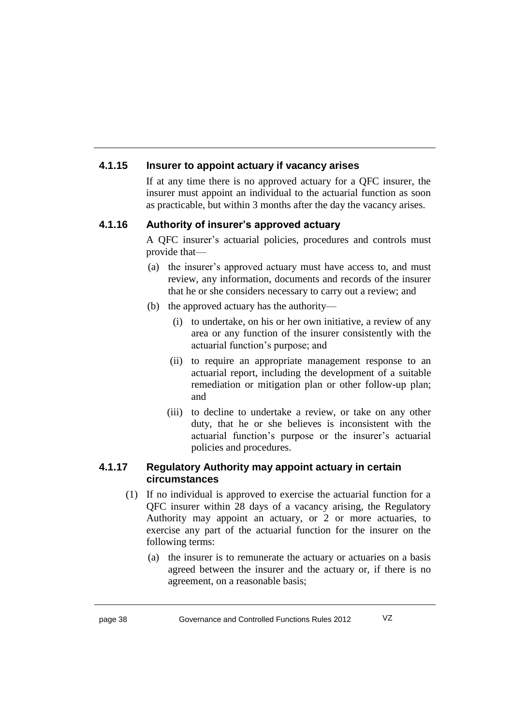### **4.1.15 Insurer to appoint actuary if vacancy arises**

If at any time there is no approved actuary for a QFC insurer, the insurer must appoint an individual to the actuarial function as soon as practicable, but within 3 months after the day the vacancy arises.

#### **4.1.16 Authority of insurer's approved actuary**

A QFC insurer's actuarial policies, procedures and controls must provide that—

- (a) the insurer's approved actuary must have access to, and must review, any information, documents and records of the insurer that he or she considers necessary to carry out a review; and
- (b) the approved actuary has the authority—
	- (i) to undertake, on his or her own initiative, a review of any area or any function of the insurer consistently with the actuarial function's purpose; and
	- (ii) to require an appropriate management response to an actuarial report, including the development of a suitable remediation or mitigation plan or other follow-up plan; and
	- (iii) to decline to undertake a review, or take on any other duty, that he or she believes is inconsistent with the actuarial function's purpose or the insurer's actuarial policies and procedures.

#### **4.1.17 Regulatory Authority may appoint actuary in certain circumstances**

- (1) If no individual is approved to exercise the actuarial function for a QFC insurer within 28 days of a vacancy arising, the Regulatory Authority may appoint an actuary, or 2 or more actuaries, to exercise any part of the actuarial function for the insurer on the following terms:
	- (a) the insurer is to remunerate the actuary or actuaries on a basis agreed between the insurer and the actuary or, if there is no agreement, on a reasonable basis;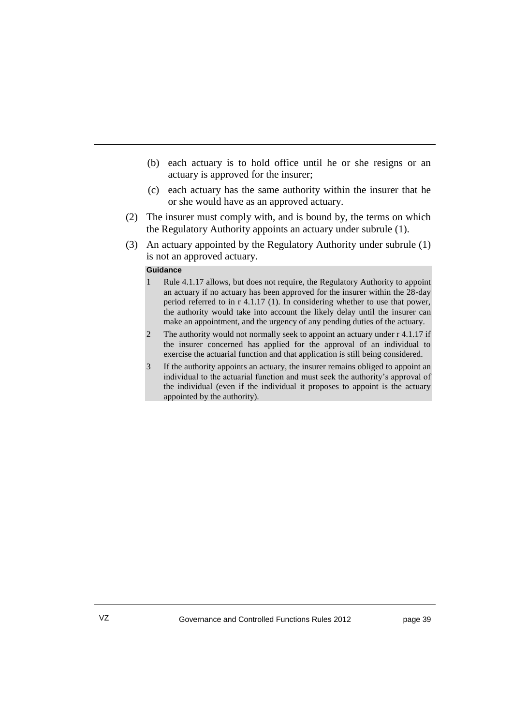- (b) each actuary is to hold office until he or she resigns or an actuary is approved for the insurer;
- (c) each actuary has the same authority within the insurer that he or she would have as an approved actuary.
- (2) The insurer must comply with, and is bound by, the terms on which the Regulatory Authority appoints an actuary under subrule (1).
- (3) An actuary appointed by the Regulatory Authority under subrule (1) is not an approved actuary.

#### **Guidance**

- 1 Rule 4.1.17 allows, but does not require, the Regulatory Authority to appoint an actuary if no actuary has been approved for the insurer within the 28-day period referred to in r 4.1.17 (1). In considering whether to use that power, the authority would take into account the likely delay until the insurer can make an appointment, and the urgency of any pending duties of the actuary.
- 2 The authority would not normally seek to appoint an actuary under r 4.1.17 if the insurer concerned has applied for the approval of an individual to exercise the actuarial function and that application is still being considered.
- 3 If the authority appoints an actuary, the insurer remains obliged to appoint an individual to the actuarial function and must seek the authority's approval of the individual (even if the individual it proposes to appoint is the actuary appointed by the authority).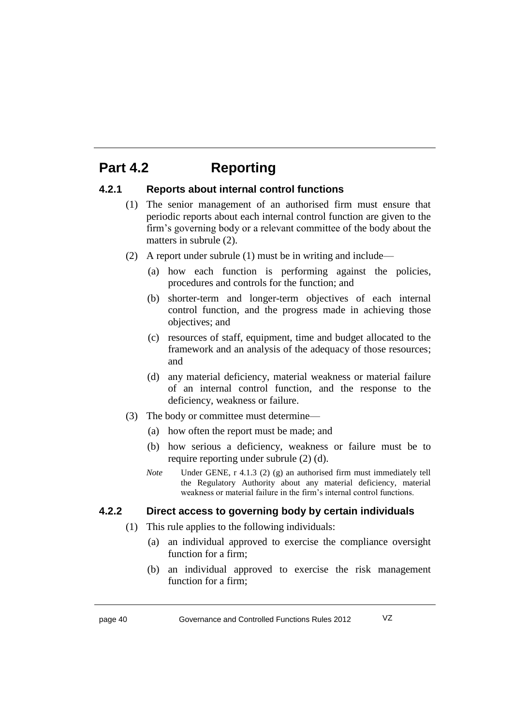# **Part 4.2 Reporting**

#### **4.2.1 Reports about internal control functions**

- (1) The senior management of an authorised firm must ensure that periodic reports about each internal control function are given to the firm's governing body or a relevant committee of the body about the matters in subrule (2).
- (2) A report under subrule (1) must be in writing and include—
	- (a) how each function is performing against the policies, procedures and controls for the function; and
	- (b) shorter-term and longer-term objectives of each internal control function, and the progress made in achieving those objectives; and
	- (c) resources of staff, equipment, time and budget allocated to the framework and an analysis of the adequacy of those resources; and
	- (d) any material deficiency, material weakness or material failure of an internal control function, and the response to the deficiency, weakness or failure.
- (3) The body or committee must determine—
	- (a) how often the report must be made; and
	- (b) how serious a deficiency, weakness or failure must be to require reporting under subrule (2) (d).
	- *Note* Under GENE, r 4.1.3 (2) (g) an authorised firm must immediately tell the Regulatory Authority about any material deficiency, material weakness or material failure in the firm's internal control functions.

### **4.2.2 Direct access to governing body by certain individuals**

- (1) This rule applies to the following individuals:
	- (a) an individual approved to exercise the compliance oversight function for a firm;
	- (b) an individual approved to exercise the risk management function for a firm;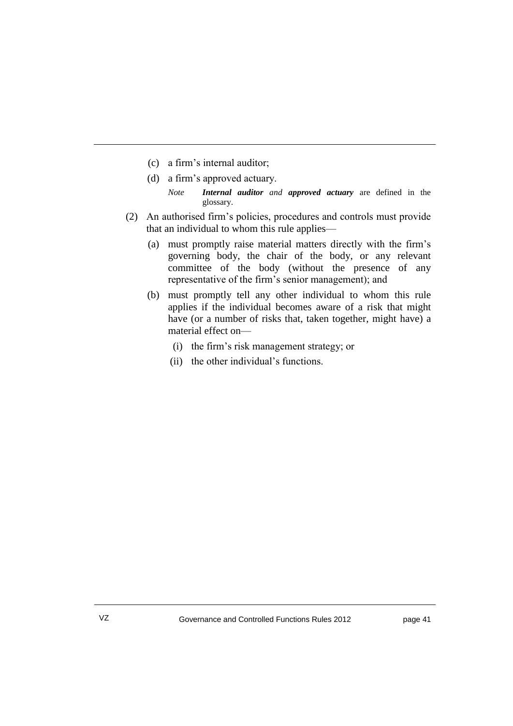- (c) a firm's internal auditor;
- (d) a firm's approved actuary.
	- *Note Internal auditor and approved actuary* are defined in the glossary.
- (2) An authorised firm's policies, procedures and controls must provide that an individual to whom this rule applies—
	- (a) must promptly raise material matters directly with the firm's governing body, the chair of the body, or any relevant committee of the body (without the presence of any representative of the firm's senior management); and
	- (b) must promptly tell any other individual to whom this rule applies if the individual becomes aware of a risk that might have (or a number of risks that, taken together, might have) a material effect on—
		- (i) the firm's risk management strategy; or
		- (ii) the other individual's functions.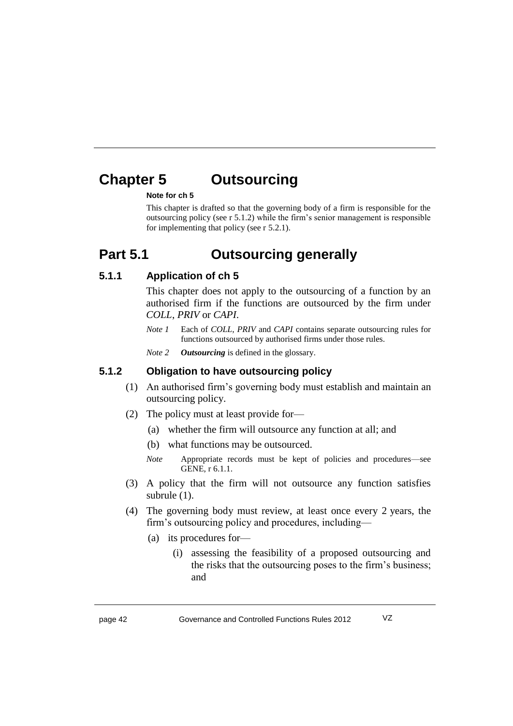# **Chapter 5 Outsourcing**

#### **Note for ch 5**

This chapter is drafted so that the governing body of a firm is responsible for the outsourcing policy (see r 5.1.2) while the firm's senior management is responsible for implementing that policy (see r 5.2.1).

# **Part 5.1 Outsourcing generally**

#### **5.1.1 Application of ch 5**

This chapter does not apply to the outsourcing of a function by an authorised firm if the functions are outsourced by the firm under *COLL*, *PRIV* or *CAPI*.

- *Note 1* Each of *COLL*, *PRIV* and *CAPI* contains separate outsourcing rules for functions outsourced by authorised firms under those rules.
- *Note 2 Outsourcing* is defined in the glossary.

#### **5.1.2 Obligation to have outsourcing policy**

- (1) An authorised firm's governing body must establish and maintain an outsourcing policy.
- (2) The policy must at least provide for—
	- (a) whether the firm will outsource any function at all; and
	- (b) what functions may be outsourced.
	- *Note* Appropriate records must be kept of policies and procedures—see GENE, r 6.1.1.
- (3) A policy that the firm will not outsource any function satisfies subrule (1).
- (4) The governing body must review, at least once every 2 years, the firm's outsourcing policy and procedures, including—
	- (a) its procedures for—
		- (i) assessing the feasibility of a proposed outsourcing and the risks that the outsourcing poses to the firm's business; and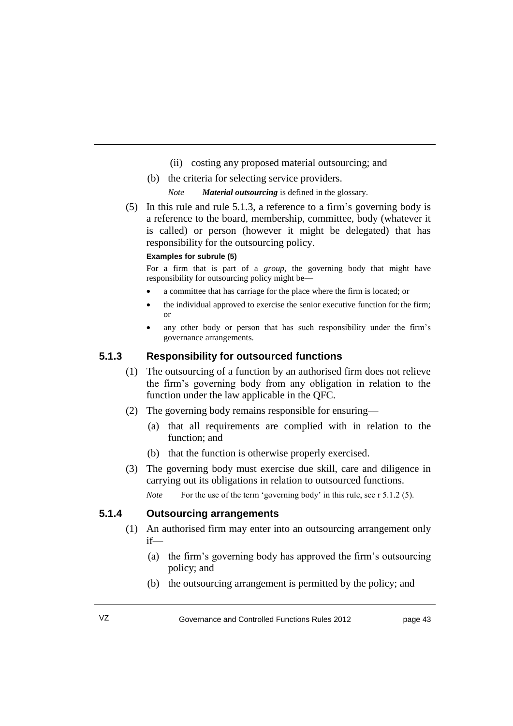- (ii) costing any proposed material outsourcing; and
- (b) the criteria for selecting service providers.
	- *Note Material outsourcing* is defined in the glossary.
- (5) In this rule and rule 5.1.3, a reference to a firm's governing body is a reference to the board, membership, committee, body (whatever it is called) or person (however it might be delegated) that has responsibility for the outsourcing policy.

#### **Examples for subrule (5)**

For a firm that is part of a *group*, the governing body that might have responsibility for outsourcing policy might be—

- a committee that has carriage for the place where the firm is located; or
- the individual approved to exercise the senior executive function for the firm; or
- any other body or person that has such responsibility under the firm's governance arrangements.

#### **5.1.3 Responsibility for outsourced functions**

- (1) The outsourcing of a function by an authorised firm does not relieve the firm's governing body from any obligation in relation to the function under the law applicable in the QFC.
- (2) The governing body remains responsible for ensuring—
	- (a) that all requirements are complied with in relation to the function; and
	- (b) that the function is otherwise properly exercised.
- (3) The governing body must exercise due skill, care and diligence in carrying out its obligations in relation to outsourced functions.

*Note* For the use of the term 'governing body' in this rule, see r 5.1.2 (5).

#### **5.1.4 Outsourcing arrangements**

- (1) An authorised firm may enter into an outsourcing arrangement only if—
	- (a) the firm's governing body has approved the firm's outsourcing policy; and
	- (b) the outsourcing arrangement is permitted by the policy; and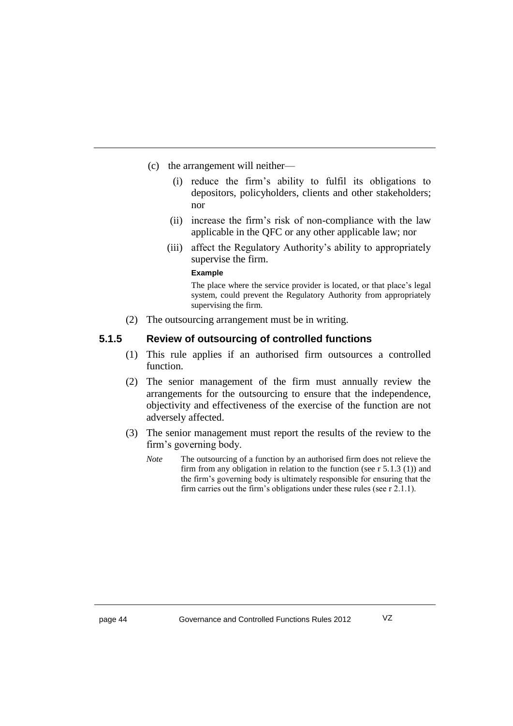- (c) the arrangement will neither—
	- (i) reduce the firm's ability to fulfil its obligations to depositors, policyholders, clients and other stakeholders; nor
	- (ii) increase the firm's risk of non-compliance with the law applicable in the QFC or any other applicable law; nor
	- (iii) affect the Regulatory Authority's ability to appropriately supervise the firm.

#### **Example**

The place where the service provider is located, or that place's legal system, could prevent the Regulatory Authority from appropriately supervising the firm.

(2) The outsourcing arrangement must be in writing.

#### **5.1.5 Review of outsourcing of controlled functions**

- (1) This rule applies if an authorised firm outsources a controlled function.
- (2) The senior management of the firm must annually review the arrangements for the outsourcing to ensure that the independence, objectivity and effectiveness of the exercise of the function are not adversely affected.
- (3) The senior management must report the results of the review to the firm's governing body.
	- *Note* The outsourcing of a function by an authorised firm does not relieve the firm from any obligation in relation to the function (see  $r 5.1.3$  (1)) and the firm's governing body is ultimately responsible for ensuring that the firm carries out the firm's obligations under these rules (see r 2.1.1).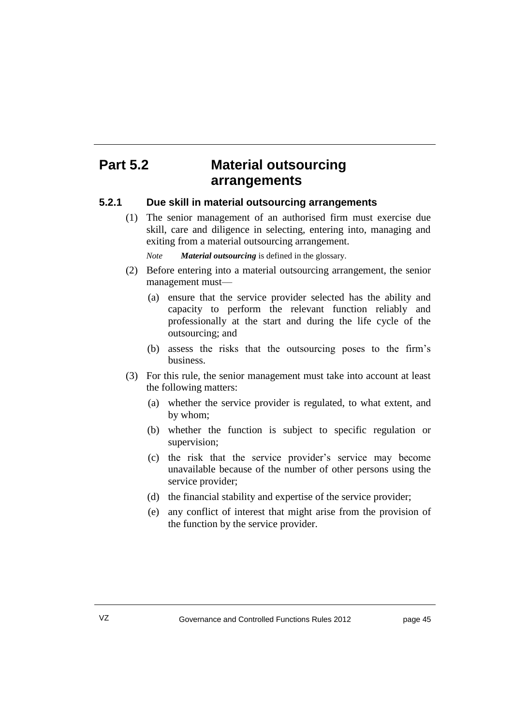# **Part 5.2 Material outsourcing arrangements**

#### **5.2.1 Due skill in material outsourcing arrangements**

(1) The senior management of an authorised firm must exercise due skill, care and diligence in selecting, entering into, managing and exiting from a material outsourcing arrangement.

*Note Material outsourcing* is defined in the glossary.

- (2) Before entering into a material outsourcing arrangement, the senior management must—
	- (a) ensure that the service provider selected has the ability and capacity to perform the relevant function reliably and professionally at the start and during the life cycle of the outsourcing; and
	- (b) assess the risks that the outsourcing poses to the firm's business.
- (3) For this rule, the senior management must take into account at least the following matters:
	- (a) whether the service provider is regulated, to what extent, and by whom;
	- (b) whether the function is subject to specific regulation or supervision;
	- (c) the risk that the service provider's service may become unavailable because of the number of other persons using the service provider;
	- (d) the financial stability and expertise of the service provider;
	- (e) any conflict of interest that might arise from the provision of the function by the service provider.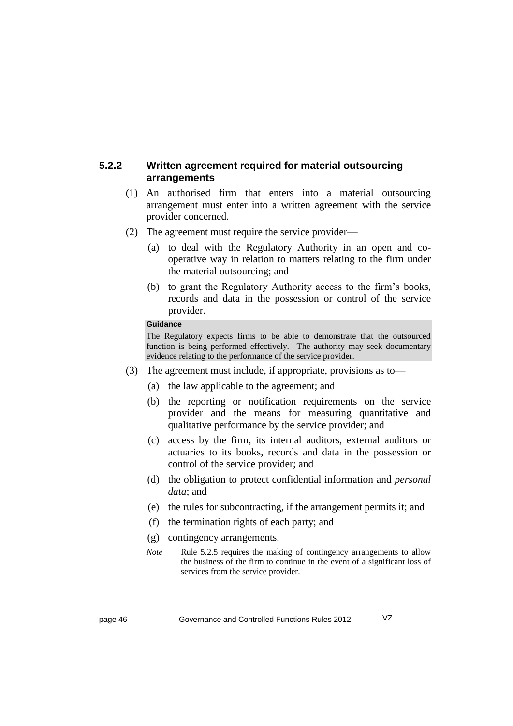#### **5.2.2 Written agreement required for material outsourcing arrangements**

- (1) An authorised firm that enters into a material outsourcing arrangement must enter into a written agreement with the service provider concerned.
- (2) The agreement must require the service provider—
	- (a) to deal with the Regulatory Authority in an open and cooperative way in relation to matters relating to the firm under the material outsourcing; and
	- (b) to grant the Regulatory Authority access to the firm's books, records and data in the possession or control of the service provider.

#### **Guidance**

The Regulatory expects firms to be able to demonstrate that the outsourced function is being performed effectively. The authority may seek documentary evidence relating to the performance of the service provider.

- (3) The agreement must include, if appropriate, provisions as to—
	- (a) the law applicable to the agreement; and
	- (b) the reporting or notification requirements on the service provider and the means for measuring quantitative and qualitative performance by the service provider; and
	- (c) access by the firm, its internal auditors, external auditors or actuaries to its books, records and data in the possession or control of the service provider; and
	- (d) the obligation to protect confidential information and *personal data*; and
	- (e) the rules for subcontracting, if the arrangement permits it; and
	- (f) the termination rights of each party; and
	- (g) contingency arrangements.
	- *Note* Rule 5.2.5 requires the making of contingency arrangements to allow the business of the firm to continue in the event of a significant loss of services from the service provider.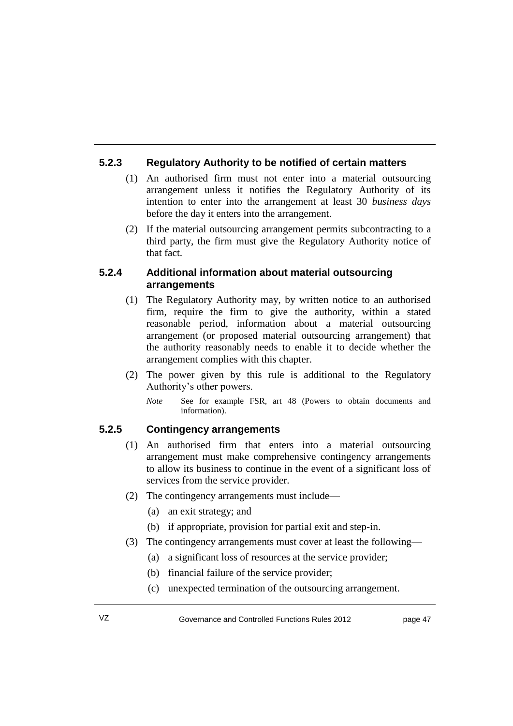### **5.2.3 Regulatory Authority to be notified of certain matters**

- (1) An authorised firm must not enter into a material outsourcing arrangement unless it notifies the Regulatory Authority of its intention to enter into the arrangement at least 30 *business days* before the day it enters into the arrangement.
- (2) If the material outsourcing arrangement permits subcontracting to a third party, the firm must give the Regulatory Authority notice of that fact.

#### **5.2.4 Additional information about material outsourcing arrangements**

- (1) The Regulatory Authority may, by written notice to an authorised firm, require the firm to give the authority, within a stated reasonable period, information about a material outsourcing arrangement (or proposed material outsourcing arrangement) that the authority reasonably needs to enable it to decide whether the arrangement complies with this chapter.
- (2) The power given by this rule is additional to the Regulatory Authority's other powers.
	- *Note* See for example FSR, art 48 (Powers to obtain documents and information).

### **5.2.5 Contingency arrangements**

- (1) An authorised firm that enters into a material outsourcing arrangement must make comprehensive contingency arrangements to allow its business to continue in the event of a significant loss of services from the service provider.
- (2) The contingency arrangements must include—
	- (a) an exit strategy; and
	- (b) if appropriate, provision for partial exit and step-in.
- (3) The contingency arrangements must cover at least the following—
	- (a) a significant loss of resources at the service provider;
	- (b) financial failure of the service provider;
	- (c) unexpected termination of the outsourcing arrangement.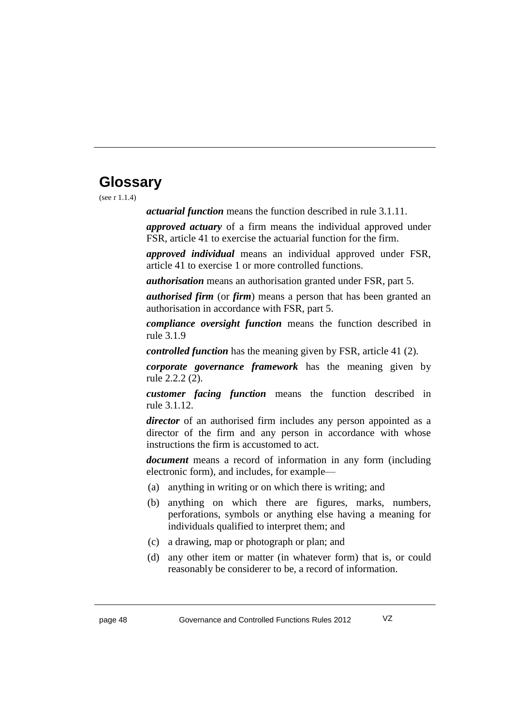# **Glossary**

(see r 1.1.4)

*actuarial function* means the function described in rule 3.1.11.

*approved actuary* of a firm means the individual approved under FSR, article 41 to exercise the actuarial function for the firm.

*approved individual* means an individual approved under FSR, article 41 to exercise 1 or more controlled functions.

*authorisation* means an authorisation granted under FSR, part 5.

*authorised firm* (or *firm*) means a person that has been granted an authorisation in accordance with FSR, part 5.

*compliance oversight function* means the function described in rule 3.1.9

*controlled function* has the meaning given by FSR, article 41 (2).

*corporate governance framework* has the meaning given by rule 2.2.2 (2).

*customer facing function* means the function described in rule 3.1.12.

*director* of an authorised firm includes any person appointed as a director of the firm and any person in accordance with whose instructions the firm is accustomed to act.

*document* means a record of information in any form (including electronic form), and includes, for example—

- (a) anything in writing or on which there is writing; and
- (b) anything on which there are figures, marks, numbers, perforations, symbols or anything else having a meaning for individuals qualified to interpret them; and
- (c) a drawing, map or photograph or plan; and
- (d) any other item or matter (in whatever form) that is, or could reasonably be considerer to be, a record of information.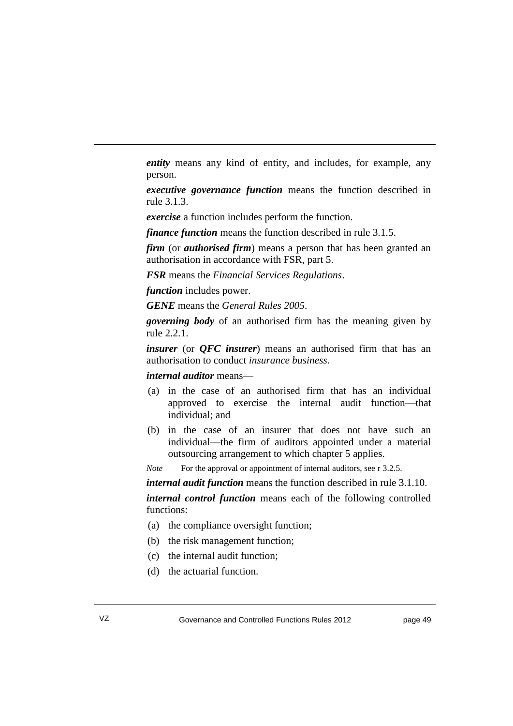*entity* means any kind of entity, and includes, for example, any person.

*executive governance function* means the function described in rule 3.1.3.

*exercise* a function includes perform the function.

*finance function* means the function described in rule 3.1.5.

*firm* (or *authorised firm*) means a person that has been granted an authorisation in accordance with FSR, part 5.

*FSR* means the *Financial Services Regulations*.

*function* includes power.

*GENE* means the *General Rules 2005*.

*governing body* of an authorised firm has the meaning given by rule 2.2.1.

*insurer* (or *QFC insurer*) means an authorised firm that has an authorisation to conduct *insurance business*.

#### *internal auditor* means—

- (a) in the case of an authorised firm that has an individual approved to exercise the internal audit function—that individual; and
- (b) in the case of an insurer that does not have such an individual—the firm of auditors appointed under a material outsourcing arrangement to which chapter 5 applies.

*Note* For the approval or appointment of internal auditors, see r 3.2.5.

*internal audit function* means the function described in rule 3.1.10.

*internal control function* means each of the following controlled functions:

- (a) the compliance oversight function;
- (b) the risk management function;
- (c) the internal audit function;
- (d) the actuarial function.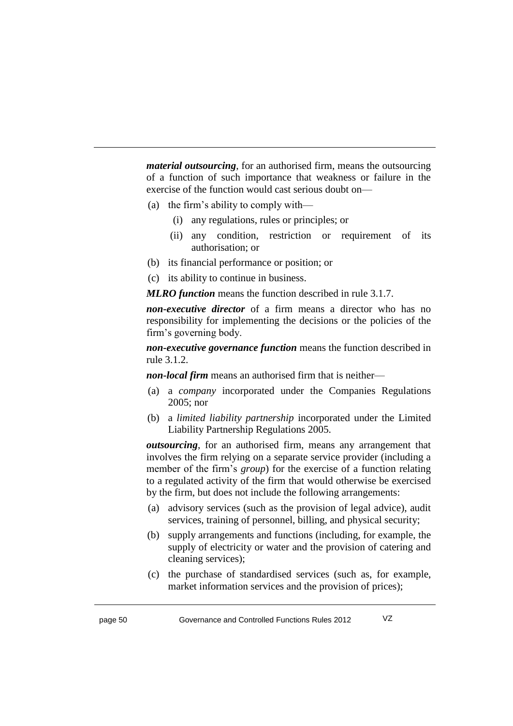*material outsourcing*, for an authorised firm, means the outsourcing of a function of such importance that weakness or failure in the exercise of the function would cast serious doubt on—

- (a) the firm's ability to comply with—
	- (i) any regulations, rules or principles; or
	- (ii) any condition, restriction or requirement of its authorisation; or
- (b) its financial performance or position; or
- (c) its ability to continue in business.

*MLRO function* means the function described in rule 3.1.7.

*non-executive director* of a firm means a director who has no responsibility for implementing the decisions or the policies of the firm's governing body.

*non-executive governance function* means the function described in rule 3.1.2.

*non-local firm* means an authorised firm that is neither—

- (a) a *company* incorporated under the Companies Regulations 2005; nor
- (b) a *limited liability partnership* incorporated under the Limited Liability Partnership Regulations 2005.

*outsourcing*, for an authorised firm, means any arrangement that involves the firm relying on a separate service provider (including a member of the firm's *group*) for the exercise of a function relating to a regulated activity of the firm that would otherwise be exercised by the firm, but does not include the following arrangements:

- (a) advisory services (such as the provision of legal advice), audit services, training of personnel, billing, and physical security;
- (b) supply arrangements and functions (including, for example, the supply of electricity or water and the provision of catering and cleaning services);
- (c) the purchase of standardised services (such as, for example, market information services and the provision of prices);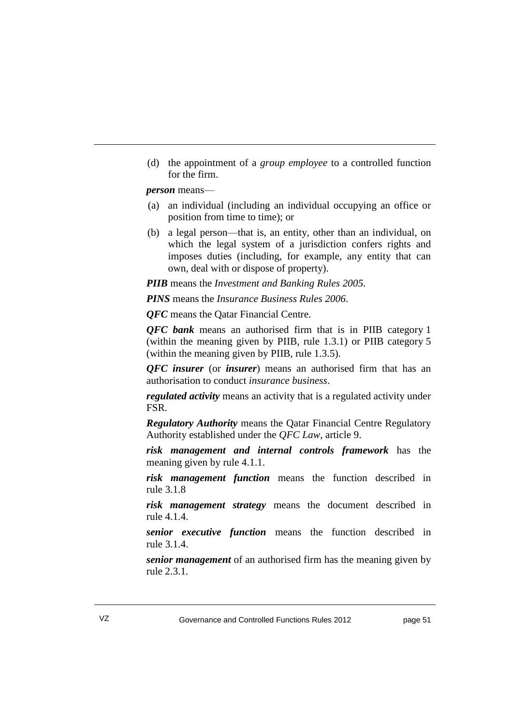(d) the appointment of a *group employee* to a controlled function for the firm.

*person* means—

- (a) an individual (including an individual occupying an office or position from time to time); or
- (b) a legal person—that is, an entity, other than an individual, on which the legal system of a jurisdiction confers rights and imposes duties (including, for example, any entity that can own, deal with or dispose of property).

*PIIB* means the *Investment and Banking Rules 2005.*

*PINS* means the *Insurance Business Rules 2006*.

*QFC* means the Qatar Financial Centre.

*QFC bank* means an authorised firm that is in PIIB category 1 (within the meaning given by PIIB, rule 1.3.1) or PIIB category 5 (within the meaning given by PIIB, rule 1.3.5).

*QFC insurer* (or *insurer*) means an authorised firm that has an authorisation to conduct *insurance business*.

*regulated activity* means an activity that is a regulated activity under FSR.

*Regulatory Authority* means the Qatar Financial Centre Regulatory Authority established under the *QFC Law*, article 9.

*risk management and internal controls framework* has the meaning given by rule 4.1.1.

*risk management function* means the function described in rule 3.1.8

*risk management strategy* means the document described in rule 4.1.4.

*senior executive function* means the function described in rule 3.1.4.

*senior management* of an authorised firm has the meaning given by rule 2.3.1.